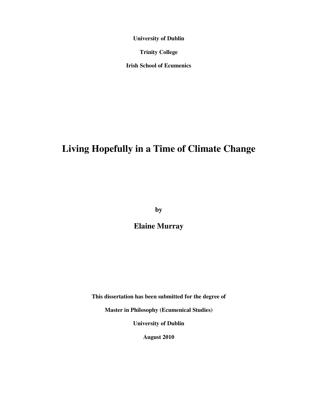**University of Dublin** 

**Trinity College** 

**Irish School of Ecumenics** 

# **Living Hopefully in a Time of Climate Change**

**by** 

**Elaine Murray** 

**This dissertation has been submitted for the degree of** 

**Master in Philosophy (Ecumenical Studies)** 

**University of Dublin** 

**August 2010**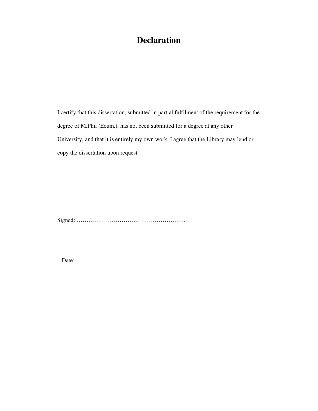# **Declaration**

I certify that this dissertation, submitted in partial fulfilment of the requirement for the degree of M.Phil (Ecum.), has not been submitted for a degree at any other University, and that it is entirely my own work. I agree that the Library may lend or copy the dissertation upon request.

Signed: ………………………………………………..

Date: ……………………….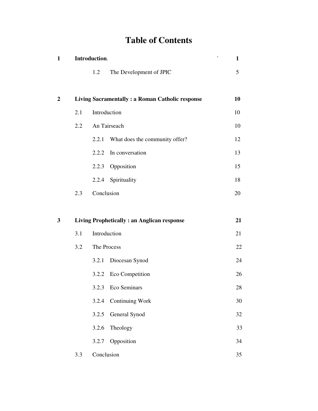# **Table of Contents**

| 1                       | Introduction. |                     |                                                        | $\mathbf{1}$ |
|-------------------------|---------------|---------------------|--------------------------------------------------------|--------------|
|                         |               | 1.2                 | The Development of JPIC                                | 5            |
| $\overline{\mathbf{c}}$ |               |                     | <b>Living Sacramentally: a Roman Catholic response</b> | 10           |
|                         | 2.1           | Introduction        |                                                        | 10           |
|                         | 2.2           | An Tairseach        |                                                        | 10           |
|                         |               | 2.2.1               | What does the community offer?                         | 12           |
|                         |               | 2.2.2               | In conversation                                        | 13           |
|                         |               | Opposition<br>2.2.3 |                                                        | 15           |
|                         |               | 2.2.4 Spirituality  |                                                        | 18           |
|                         | 2.3           | Conclusion          |                                                        | 20           |
| 3                       |               |                     | <b>Living Prophetically: an Anglican response</b>      | 21           |
|                         | 3.1           | Introduction        |                                                        | 21           |
|                         | 3.2           | The Process         |                                                        | 22           |
|                         |               | 3.2.1               | Diocesan Synod                                         | 24           |
|                         |               | 3.2.2               | Eco Competition                                        | 26           |
|                         |               | 3.2.3 Eco Seminars  |                                                        | 28           |
|                         |               | 3.2.4               | <b>Continuing Work</b>                                 | 30           |
|                         |               | 3.2.5               | General Synod                                          | 32           |
|                         |               | 3.2.6<br>Theology   |                                                        | 33           |
|                         |               | 3.2.7<br>Opposition |                                                        | 34           |
|                         | 3.3           | Conclusion          |                                                        | 35           |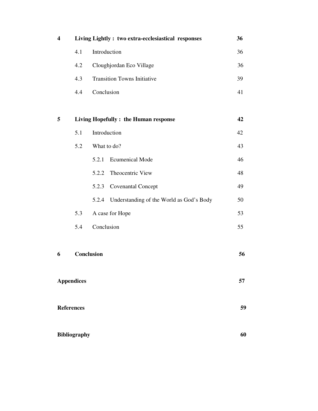| $\overline{\mathbf{4}}$ | Living Lightly: two extra-ecclesiastical responses | 36                                                |    |
|-------------------------|----------------------------------------------------|---------------------------------------------------|----|
|                         | 4.1                                                | Introduction                                      | 36 |
|                         | 4.2                                                | Cloughjordan Eco Village                          | 36 |
|                         | 4.3                                                | <b>Transition Towns Initiative</b>                | 39 |
|                         | 4.4                                                | Conclusion                                        | 41 |
|                         |                                                    |                                                   |    |
| 5                       |                                                    | Living Hopefully: the Human response              | 42 |
|                         | 5.1                                                | Introduction                                      | 42 |
|                         | 5.2                                                | What to do?                                       | 43 |
|                         |                                                    | <b>Ecumenical Mode</b><br>5.2.1                   | 46 |
|                         |                                                    | Theocentric View<br>5.2.2                         | 48 |
|                         |                                                    | 5.2.3<br><b>Covenantal Concept</b>                | 49 |
|                         |                                                    | Understanding of the World as God's Body<br>5.2.4 | 50 |
|                         | 5.3                                                | A case for Hope                                   | 53 |
|                         | 5.4                                                | Conclusion                                        | 55 |
|                         |                                                    |                                                   |    |
| 6                       | Conclusion                                         |                                                   | 56 |
| <b>Appendices</b>       |                                                    | 57                                                |    |
| <b>References</b>       |                                                    | 59                                                |    |
|                         | <b>Bibliography</b>                                | 60                                                |    |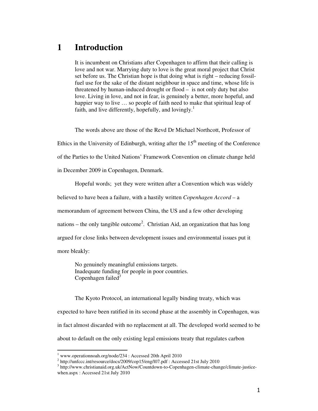## **1 Introduction**

It is incumbent on Christians after Copenhagen to affirm that their calling is love and not war. Marrying duty to love is the great moral project that Christ set before us. The Christian hope is that doing what is right – reducing fossilfuel use for the sake of the distant neighbour in space and time, whose life is threatened by human-induced drought or flood – is not only duty but also love. Living in love, and not in fear, is genuinely a better, more hopeful, and happier way to live ... so people of faith need to make that spiritual leap of faith, and live differently, hopefully, and lovingly.<sup>1</sup>

The words above are those of the Revd Dr Michael Northcott, Professor of

Ethics in the University of Edinburgh, writing after the  $15<sup>th</sup>$  meeting of the Conference

of the Parties to the United Nations' Framework Convention on climate change held

in December 2009 in Copenhagen, Denmark.

Hopeful words; yet they were written after a Convention which was widely

believed to have been a failure, with a hastily written *Copenhagen Accord* – a

memorandum of agreement between China, the US and a few other developing

nations – the only tangible outcome<sup>2</sup>. Christian Aid, an organization that has long

argued for close links between development issues and environmental issues put it

more bleakly:

l

No genuinely meaningful emissions targets. Inadequate funding for people in poor countries. Copenhagen failed*<sup>3</sup>*

The Kyoto Protocol, an international legally binding treaty, which was expected to have been ratified in its second phase at the assembly in Copenhagen, was in fact almost discarded with no replacement at all. The developed world seemed to be about to default on the only existing legal emissions treaty that regulates carbon

<sup>1</sup> www.operationnoah.org/node/234 : Accessed 20th April 2010

<sup>&</sup>lt;sup>2</sup> http://unfccc.int/resource/docs/2009/cop15/eng/l07.pdf : Accessed 21st July 2010

<sup>&</sup>lt;sup>3</sup> http://www.christianaid.org.uk/ActNow/Countdown-to-Copenhagen-climate-change/climate-justicewhen.aspx : Accessed 21st July 2010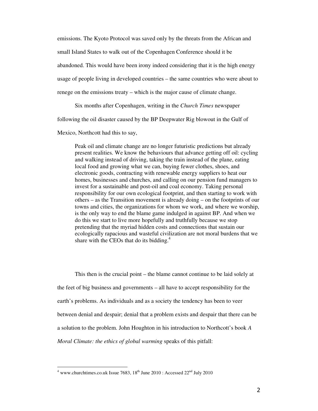emissions. The Kyoto Protocol was saved only by the threats from the African and small Island States to walk out of the Copenhagen Conference should it be abandoned. This would have been irony indeed considering that it is the high energy usage of people living in developed countries – the same countries who were about to renege on the emissions treaty – which is the major cause of climate change.

Six months after Copenhagen, writing in the *Church Times* newspaper

following the oil disaster caused by the BP Deepwater Rig blowout in the Gulf of

Mexico, Northcott had this to say,

Peak oil and climate change are no longer futuristic predictions but already present realities. We know the behaviours that advance getting off oil: cycling and walking instead of driving, taking the train instead of the plane, eating local food and growing what we can, buying fewer clothes, shoes, and electronic goods, contracting with renewable energy suppliers to heat our homes, businesses and churches, and calling on our pension fund managers to invest for a sustainable and post-oil and coal economy. Taking personal responsibility for our own ecological footprint, and then starting to work with others – as the Transition movement is already doing – on the footprints of our towns and cities, the organizations for whom we work, and where we worship, is the only way to end the blame game indulged in against BP. And when we do this we start to live more hopefully and truthfully because we stop pretending that the myriad hidden costs and connections that sustain our ecologically rapacious and wasteful civilization are not moral burdens that we share with the CEOs that do its bidding. $4$ 

This then is the crucial point – the blame cannot continue to be laid solely at the feet of big business and governments – all have to accept responsibility for the earth's problems. As individuals and as a society the tendency has been to veer between denial and despair; denial that a problem exists and despair that there can be a solution to the problem. John Houghton in his introduction to Northcott's book *A Moral Climate: the ethics of global warming* speaks of this pitfall:

<sup>&</sup>lt;sup>4</sup> www.churchtimes.co.uk Issue 7683,  $18^{th}$  June 2010 : Accessed  $22^{nd}$  July 2010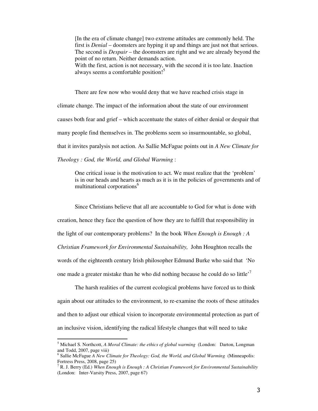[In the era of climate change] two extreme attitudes are commonly held. The first is *Denial* – doomsters are hyping it up and things are just not that serious. The second is *Despair* – the doomsters are right and we are already beyond the point of no return. Neither demands action. With the first, action is not necessary, with the second it is too late. Inaction always seems a comfortable position!<sup>5</sup>

There are few now who would deny that we have reached crisis stage in climate change. The impact of the information about the state of our environment causes both fear and grief – which accentuate the states of either denial or despair that many people find themselves in. The problems seem so insurmountable, so global, that it invites paralysis not action. As Sallie McFague points out in *A New Climate for Theology : God, the World, and Global Warming* :

One critical issue is the motivation to act. We must realize that the 'problem' is in our heads and hearts as much as it is in the policies of governments and of multinational corporations<sup>6</sup>

Since Christians believe that all are accountable to God for what is done with creation, hence they face the question of how they are to fulfill that responsibility in the light of our contemporary problems? In the book *When Enough is Enough : A Christian Framework for Environmental Sustainability,* John Houghton recalls the words of the eighteenth century Irish philosopher Edmund Burke who said that 'No one made a greater mistake than he who did nothing because he could do so little<sup>7</sup>

The harsh realities of the current ecological problems have forced us to think again about our attitudes to the environment, to re-examine the roots of these attitudes and then to adjust our ethical vision to incorporate environmental protection as part of an inclusive vision, identifying the radical lifestyle changes that will need to take

<sup>5</sup> Michael S. Northcott, *A Moral Climate: the ethics of global warming* (London: Darton, Longman and Todd, 2007, page viii)

<sup>&</sup>lt;sup>6</sup> Sallie McFague *A New Climate for Theology: God, the World, and Global Warming* (Minneapolis: Fortress Press, 2008, page 25)

<sup>7</sup> R. J. Berry (Ed.) *When Enough is Enough : A Christian Framework for Environmental Sustainability*  (London: Inter-Varsity Press, 2007, page 67)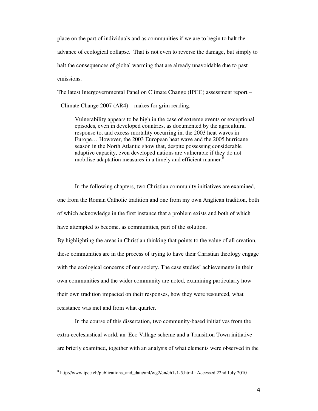place on the part of individuals and as communities if we are to begin to halt the advance of ecological collapse. That is not even to reverse the damage, but simply to halt the consequences of global warming that are already unavoidable due to past emissions.

The latest Intergovernmental Panel on Climate Change (IPCC) assessment report –

- Climate Change 2007 (AR4) – makes for grim reading.

Vulnerability appears to be high in the case of extreme events or exceptional episodes, even in developed countries, as documented by the agricultural response to, and excess mortality occurring in, the 2003 heat waves in Europe… However, the 2003 European heat wave and the 2005 hurricane season in the North Atlantic show that, despite possessing considerable adaptive capacity, even developed nations are vulnerable if they do not mobilise adaptation measures in a timely and efficient manner*. 8*

In the following chapters, two Christian community initiatives are examined, one from the Roman Catholic tradition and one from my own Anglican tradition, both of which acknowledge in the first instance that a problem exists and both of which have attempted to become, as communities, part of the solution.

By highlighting the areas in Christian thinking that points to the value of all creation, these communities are in the process of trying to have their Christian theology engage with the ecological concerns of our society. The case studies' achievements in their own communities and the wider community are noted, examining particularly how their own tradition impacted on their responses, how they were resourced, what resistance was met and from what quarter.

In the course of this dissertation, two community-based initiatives from the extra-ecclesiastical world, an Eco Village scheme and a Transition Town initiative are briefly examined, together with an analysis of what elements were observed in the

<sup>&</sup>lt;sup>8</sup> http://www.ipcc.ch/publications\_and\_data/ar4/wg2/en/ch1s1-5.html : Accessed 22nd July 2010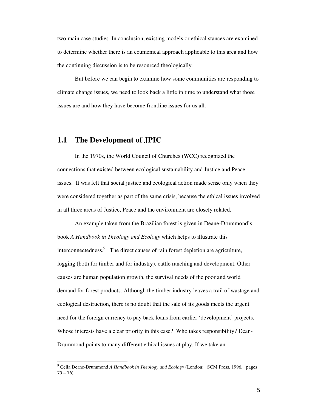two main case studies. In conclusion, existing models or ethical stances are examined to determine whether there is an ecumenical approach applicable to this area and how the continuing discussion is to be resourced theologically*.* 

But before we can begin to examine how some communities are responding to climate change issues, we need to look back a little in time to understand what those issues are and how they have become frontline issues for us all.

## **1.1 The Development of JPIC**

l,

In the 1970s, the World Council of Churches (WCC) recognized the connections that existed between ecological sustainability and Justice and Peace issues. It was felt that social justice and ecological action made sense only when they were considered together as part of the same crisis, because the ethical issues involved in all three areas of Justice, Peace and the environment are closely related.

An example taken from the Brazilian forest is given in Deane-Drummond's book *A Handbook in Theology and Ecology* which helps to illustrate this interconnectedness.<sup>9</sup> The direct causes of rain forest depletion are agriculture, logging (both for timber and for industry), cattle ranching and development. Other causes are human population growth, the survival needs of the poor and world demand for forest products. Although the timber industry leaves a trail of wastage and ecological destruction, there is no doubt that the sale of its goods meets the urgent need for the foreign currency to pay back loans from earlier 'development' projects. Whose interests have a clear priority in this case? Who takes responsibility? Dean-Drummond points to many different ethical issues at play. If we take an

<sup>9</sup> Celia Deane-Drummond *A Handbook in Theology and Ecology* (London: SCM Press, 1996, pages  $75 - 76$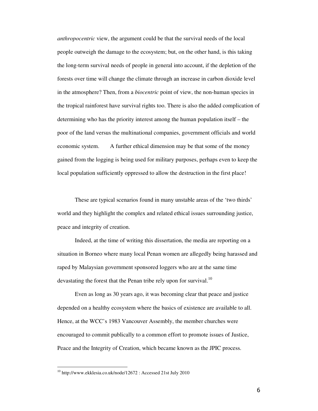*anthropocentric* view, the argument could be that the survival needs of the local people outweigh the damage to the ecosystem; but, on the other hand, is this taking the long-term survival needs of people in general into account, if the depletion of the forests over time will change the climate through an increase in carbon dioxide level in the atmosphere? Then, from a *biocentric* point of view, the non-human species in the tropical rainforest have survival rights too. There is also the added complication of determining who has the priority interest among the human population itself – the poor of the land versus the multinational companies, government officials and world economic system. A further ethical dimension may be that some of the money gained from the logging is being used for military purposes, perhaps even to keep the local population sufficiently oppressed to allow the destruction in the first place!

These are typical scenarios found in many unstable areas of the 'two thirds' world and they highlight the complex and related ethical issues surrounding justice, peace and integrity of creation.

Indeed, at the time of writing this dissertation, the media are reporting on a situation in Borneo where many local Penan women are allegedly being harassed and raped by Malaysian government sponsored loggers who are at the same time devastating the forest that the Penan tribe rely upon for survival.<sup>10</sup>

Even as long as 30 years ago, it was becoming clear that peace and justice depended on a healthy ecosystem where the basics of existence are available to all. Hence, at the WCC's 1983 Vancouver Assembly, the member churches were encouraged to commit publically to a common effort to promote issues of Justice, Peace and the Integrity of Creation, which became known as the JPIC process.

<sup>10</sup> http://www.ekklesia.co.uk/node/12672 : Accessed 21st July 2010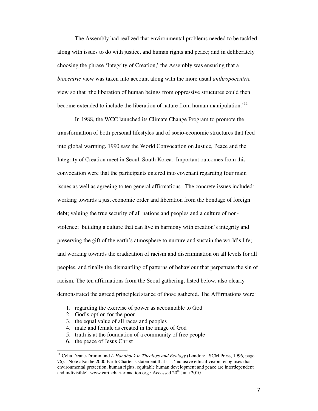The Assembly had realized that environmental problems needed to be tackled along with issues to do with justice, and human rights and peace; and in deliberately choosing the phrase 'Integrity of Creation,' the Assembly was ensuring that a *biocentric* view was taken into account along with the more usual *anthropocentric* view so that 'the liberation of human beings from oppressive structures could then become extended to include the liberation of nature from human manipulation.<sup>11</sup>

 In 1988, the WCC launched its Climate Change Program to promote the transformation of both personal lifestyles and of socio-economic structures that feed into global warming. 1990 saw the World Convocation on Justice, Peace and the Integrity of Creation meet in Seoul, South Korea. Important outcomes from this convocation were that the participants entered into covenant regarding four main issues as well as agreeing to ten general affirmations. The concrete issues included: working towards a just economic order and liberation from the bondage of foreign debt; valuing the true security of all nations and peoples and a culture of nonviolence; building a culture that can live in harmony with creation's integrity and preserving the gift of the earth's atmosphere to nurture and sustain the world's life; and working towards the eradication of racism and discrimination on all levels for all peoples, and finally the dismantling of patterns of behaviour that perpetuate the sin of racism. The ten affirmations from the Seoul gathering, listed below, also clearly demonstrated the agreed principled stance of those gathered. The Affirmations were:

- 1. regarding the exercise of power as accountable to God
- 2. God's option for the poor
- 3. the equal value of all races and peoples
- 4. male and female as created in the image of God
- 5. truth is at the foundation of a community of free people
- 6. the peace of Jesus Christ

l

<sup>&</sup>lt;sup>11</sup> Celia Deane-Drummond *A Handbook in Theology and Ecology* (London: SCM Press, 1996, page 76). Note also the 2000 Earth Charter's statement that it's 'inclusive ethical vision recognises that environmental protection, human rights, equitable human development and peace are interdependent and indivisible' www.earthcharterinaction.org : Accessed  $20<sup>th</sup>$  June 2010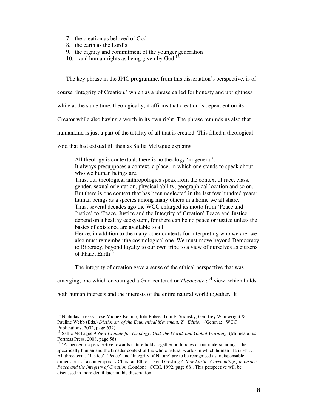- 7. the creation as beloved of God
- 8. the earth as the Lord's

l,

- 9. the dignity and commitment of the younger generation
- 10. and human rights as being given by God  $12$

The key phrase in the JPIC programme, from this dissertation's perspective, is of

course 'Integrity of Creation,' which as a phrase called for honesty and uprightness

while at the same time, theologically, it affirms that creation is dependent on its

Creator while also having a worth in its own right. The phrase reminds us also that

humankind is just a part of the totality of all that is created. This filled a theological

void that had existed till then as Sallie McFague explains:

All theology is contextual: there is no theology 'in general'.

It always presupposes a context, a place, in which one stands to speak about who we human beings are.

Thus, our theological anthropologies speak from the context of race, class, gender, sexual orientation, physical ability, geographical location and so on. But there is one context that has been neglected in the last few hundred years: human beings as a species among many others in a home we all share. Thus, several decades ago the WCC enlarged its motto from 'Peace and Justice' to 'Peace, Justice and the Integrity of Creation' Peace and Justice depend on a healthy ecosystem, for there can be no peace or justice unless the basics of existence are available to all.

Hence, in addition to the many other contexts for interpreting who we are, we also must remember the cosmological one. We must move beyond Democracy to Biocracy, beyond loyalty to our own tribe to a view of ourselves as citizens of Planet Earth<sup>13</sup>

The integrity of creation gave a sense of the ethical perspective that was

emerging, one which encouraged a God-centered or *Theocentric*<sup>14</sup> view, which holds

both human interests and the interests of the entire natural world together. It

<sup>&</sup>lt;sup>12</sup> Nicholas Lossky, Jose Miquez Bonino, JohnPobee, Tom F. Stransky, Geoffrey Wainwright & Pauline Webb (Eds.) *Dictionary of the Ecumenical Movement, 2nd Edition* (Geneva: WCC Publications, 2002, page 632)

<sup>&</sup>lt;sup>13</sup> Sallie McFague *A New Climate for Theology: God, the World, and Global Warming* (Minneapolis: Fortress Press, 2008, page 58)

<sup>&</sup>lt;sup>14</sup> 'A theocentric perspective towards nature holds together both poles of our understanding – the specifically human and the broader context of the whole natural worlds in which human life is set ... All three terms 'Justice', 'Peace' and 'Integrity of Nature' are to be recognised as indispensable dimensions of a contemporary Christian Ethic'*.* David Gosling *A New Earth* : *Covenanting for Justice, Peace and the Integrity of Creation* (London: CCBI, 1992, page 68). This perspective will be discussed in more detail later in this dissertation.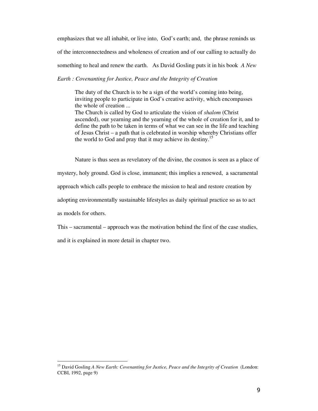emphasizes that we all inhabit, or live into, God's earth; and, the phrase reminds us of the interconnectedness and wholeness of creation and of our calling to actually do something to heal and renew the earth. As David Gosling puts it in his book *A New Earth : Covenanting for Justice, Peace and the Integrity of Creation*

The duty of the Church is to be a sign of the world's coming into being, inviting people to participate in God's creative activity, which encompasses the whole of creation ... The Church is called by God to articulate the vision of *shalom* (Christ ascended), our yearning and the yearning of the whole of creation for it, and to define the path to be taken in terms of what we can see in the life and teaching of Jesus Christ – a path that is celebrated in worship whereby Christians offer the world to God and pray that it may achieve its destiny.<sup>15</sup>

Nature is thus seen as revelatory of the divine, the cosmos is seen as a place of mystery, holy ground. God is close, immanent; this implies a renewed, a sacramental approach which calls people to embrace the mission to heal and restore creation by adopting environmentally sustainable lifestyles as daily spiritual practice so as to act as models for others.

This – sacramental – approach was the motivation behind the first of the case studies,

and it is explained in more detail in chapter two.

<sup>&</sup>lt;sup>15</sup> David Gosling *A New Earth: Covenanting for Justice, Peace and the Integrity of Creation* (London: CCBI, 1992, page 9)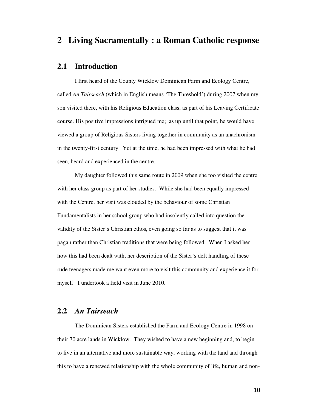## **2 Living Sacramentally : a Roman Catholic response**

## **2.1 Introduction**

I first heard of the County Wicklow Dominican Farm and Ecology Centre, called *An Tairseach* (which in English means 'The Threshold') during 2007 when my son visited there, with his Religious Education class, as part of his Leaving Certificate course. His positive impressions intrigued me; as up until that point, he would have viewed a group of Religious Sisters living together in community as an anachronism in the twenty-first century. Yet at the time, he had been impressed with what he had seen, heard and experienced in the centre.

My daughter followed this same route in 2009 when she too visited the centre with her class group as part of her studies. While she had been equally impressed with the Centre, her visit was clouded by the behaviour of some Christian Fundamentalists in her school group who had insolently called into question the validity of the Sister's Christian ethos, even going so far as to suggest that it was pagan rather than Christian traditions that were being followed. When I asked her how this had been dealt with, her description of the Sister's deft handling of these rude teenagers made me want even more to visit this community and experience it for myself. I undertook a field visit in June 2010.

## **2.2** *An Tairseach*

The Dominican Sisters established the Farm and Ecology Centre in 1998 on their 70 acre lands in Wicklow. They wished to have a new beginning and, to begin to live in an alternative and more sustainable way, working with the land and through this to have a renewed relationship with the whole community of life, human and non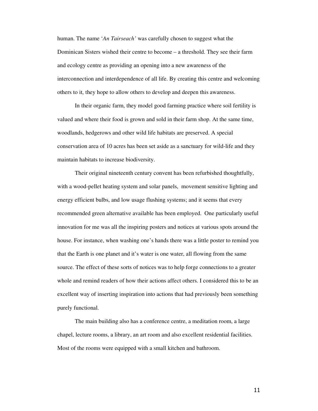human. The name '*An Tairseach'* was carefully chosen to suggest what the Dominican Sisters wished their centre to become – a threshold. They see their farm and ecology centre as providing an opening into a new awareness of the interconnection and interdependence of all life. By creating this centre and welcoming others to it, they hope to allow others to develop and deepen this awareness.

In their organic farm, they model good farming practice where soil fertility is valued and where their food is grown and sold in their farm shop. At the same time, woodlands, hedgerows and other wild life habitats are preserved. A special conservation area of 10 acres has been set aside as a sanctuary for wild-life and they maintain habitats to increase biodiversity.

Their original nineteenth century convent has been refurbished thoughtfully, with a wood-pellet heating system and solar panels, movement sensitive lighting and energy efficient bulbs, and low usage flushing systems; and it seems that every recommended green alternative available has been employed. One particularly useful innovation for me was all the inspiring posters and notices at various spots around the house. For instance, when washing one's hands there was a little poster to remind you that the Earth is one planet and it's water is one water, all flowing from the same source. The effect of these sorts of notices was to help forge connections to a greater whole and remind readers of how their actions affect others. I considered this to be an excellent way of inserting inspiration into actions that had previously been something purely functional.

The main building also has a conference centre, a meditation room, a large chapel, lecture rooms, a library, an art room and also excellent residential facilities. Most of the rooms were equipped with a small kitchen and bathroom.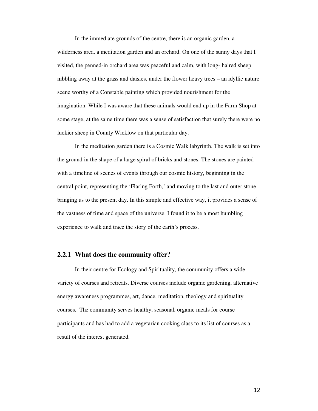In the immediate grounds of the centre, there is an organic garden, a wilderness area, a meditation garden and an orchard. On one of the sunny days that I visited, the penned-in orchard area was peaceful and calm, with long- haired sheep nibbling away at the grass and daisies, under the flower heavy trees – an idyllic nature scene worthy of a Constable painting which provided nourishment for the imagination. While I was aware that these animals would end up in the Farm Shop at some stage, at the same time there was a sense of satisfaction that surely there were no luckier sheep in County Wicklow on that particular day.

In the meditation garden there is a Cosmic Walk labyrinth. The walk is set into the ground in the shape of a large spiral of bricks and stones. The stones are painted with a timeline of scenes of events through our cosmic history, beginning in the central point, representing the 'Flaring Forth,' and moving to the last and outer stone bringing us to the present day. In this simple and effective way, it provides a sense of the vastness of time and space of the universe. I found it to be a most humbling experience to walk and trace the story of the earth's process.

### **2.2.1 What does the community offer?**

In their centre for Ecology and Spirituality, the community offers a wide variety of courses and retreats. Diverse courses include organic gardening, alternative energy awareness programmes, art, dance, meditation, theology and spirituality courses. The community serves healthy, seasonal, organic meals for course participants and has had to add a vegetarian cooking class to its list of courses as a result of the interest generated.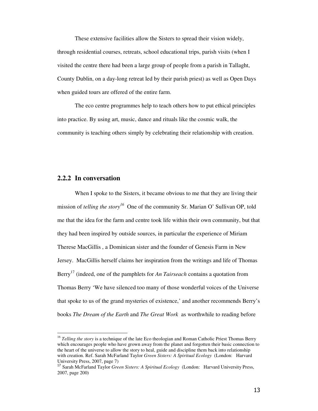These extensive facilities allow the Sisters to spread their vision widely, through residential courses, retreats, school educational trips, parish visits (when I visited the centre there had been a large group of people from a parish in Tallaght, County Dublin, on a day-long retreat led by their parish priest) as well as Open Days when guided tours are offered of the entire farm.

The eco centre programmes help to teach others how to put ethical principles into practice. By using art, music, dance and rituals like the cosmic walk, the community is teaching others simply by celebrating their relationship with creation.

### **2.2.2 In conversation**

l

When I spoke to the Sisters, it became obvious to me that they are living their mission of *telling the story<sup>16</sup>* One of the community Sr. Marian O' Sullivan OP, told me that the idea for the farm and centre took life within their own community, but that they had been inspired by outside sources, in particular the experience of Miriam Therese MacGillis , a Dominican sister and the founder of Genesis Farm in New Jersey. MacGillis herself claims her inspiration from the writings and life of Thomas Berry<sup>17</sup> (indeed, one of the pamphlets for *An Tairseach* contains a quotation from Thomas Berry 'We have silenced too many of those wonderful voices of the Universe that spoke to us of the grand mysteries of existence,' and another recommends Berry's books *The Dream of the Earth* and *The Great Work* as worthwhile to reading before

<sup>&</sup>lt;sup>16</sup> *Telling the story* is a technique of the late Eco theologian and Roman Catholic Priest Thomas Berry which encourages people who have grown away from the planet and forgotten their basic connection to the heart of the universe to allow the story to heal, guide and discipline them back into relationship with creation. Ref. Sarah McFarland Taylor *Green Sisters: A Spiritual Ecology* (London: Harvard University Press, 2007, page 7)

<sup>17</sup> Sarah McFarland Taylor *Green Sisters: A Spiritual Ecology* (London: Harvard University Press, 2007, page 200)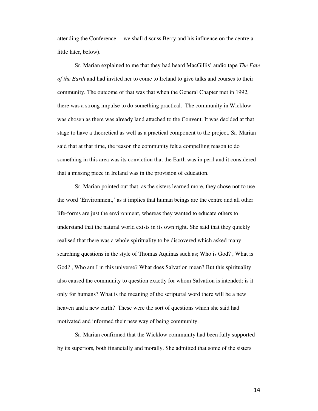attending the Conference – we shall discuss Berry and his influence on the centre a little later, below).

Sr. Marian explained to me that they had heard MacGillis' audio tape *The Fate of the Earth* and had invited her to come to Ireland to give talks and courses to their community. The outcome of that was that when the General Chapter met in 1992, there was a strong impulse to do something practical. The community in Wicklow was chosen as there was already land attached to the Convent. It was decided at that stage to have a theoretical as well as a practical component to the project. Sr. Marian said that at that time, the reason the community felt a compelling reason to do something in this area was its conviction that the Earth was in peril and it considered that a missing piece in Ireland was in the provision of education.

Sr. Marian pointed out that, as the sisters learned more, they chose not to use the word 'Environment,' as it implies that human beings are the centre and all other life-forms are just the environment, whereas they wanted to educate others to understand that the natural world exists in its own right. She said that they quickly realised that there was a whole spirituality to be discovered which asked many searching questions in the style of Thomas Aquinas such as; Who is God? , What is God? , Who am I in this universe? What does Salvation mean? But this spirituality also caused the community to question exactly for whom Salvation is intended; is it only for humans? What is the meaning of the scriptural word there will be a new heaven and a new earth? These were the sort of questions which she said had motivated and informed their new way of being community.

Sr. Marian confirmed that the Wicklow community had been fully supported by its superiors, both financially and morally. She admitted that some of the sisters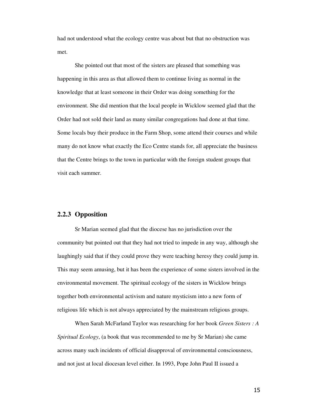had not understood what the ecology centre was about but that no obstruction was met.

She pointed out that most of the sisters are pleased that something was happening in this area as that allowed them to continue living as normal in the knowledge that at least someone in their Order was doing something for the environment. She did mention that the local people in Wicklow seemed glad that the Order had not sold their land as many similar congregations had done at that time. Some locals buy their produce in the Farm Shop, some attend their courses and while many do not know what exactly the Eco Centre stands for, all appreciate the business that the Centre brings to the town in particular with the foreign student groups that visit each summer.

### **2.2.3 Opposition**

Sr Marian seemed glad that the diocese has no jurisdiction over the community but pointed out that they had not tried to impede in any way, although she laughingly said that if they could prove they were teaching heresy they could jump in. This may seem amusing, but it has been the experience of some sisters involved in the environmental movement. The spiritual ecology of the sisters in Wicklow brings together both environmental activism and nature mysticism into a new form of religious life which is not always appreciated by the mainstream religious groups.

When Sarah McFarland Taylor was researching for her book *Green Sisters : A Spiritual Ecology*, (a book that was recommended to me by Sr Marian) she came across many such incidents of official disapproval of environmental consciousness, and not just at local diocesan level either. In 1993, Pope John Paul II issued a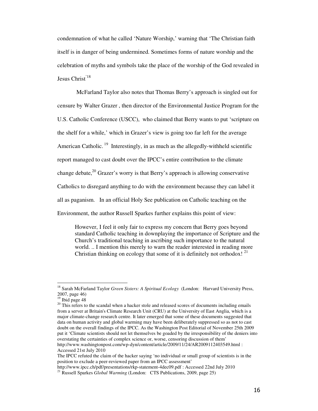condemnation of what he called 'Nature Worship,' warning that 'The Christian faith itself is in danger of being undermined. Sometimes forms of nature worship and the celebration of myths and symbols take the place of the worship of the God revealed in Jesus Christ'18

 McFarland Taylor also notes that Thomas Berry's approach is singled out for censure by Walter Grazer , then director of the Environmental Justice Program for the U.S. Catholic Conference (USCC), who claimed that Berry wants to put 'scripture on the shelf for a while,' which in Grazer's view is going too far left for the average American Catholic.<sup>19</sup> Interestingly, in as much as the allegedly-withheld scientific report managed to cast doubt over the IPCC's entire contribution to the climate change debate,<sup>20</sup> Grazer's worry is that Berry's approach is allowing conservative Catholics to disregard anything to do with the environment because they can label it all as paganism. In an official Holy See publication on Catholic teaching on the Environment, the author Russell Sparkes further explains this point of view:

However, I feel it only fair to express my concern that Berry goes beyond standard Catholic teaching in downplaying the importance of Scripture and the Church's traditional teaching in ascribing such importance to the natural world. .. I mention this merely to warn the reader interested in reading more Christian thinking on ecology that some of it is definitely not orthodox!  $21$ 

l

<sup>18</sup> Sarah McFarland Taylor *Green Sisters: A Spiritual Ecology* (London: Harvard University Press, 2007, page 46)

 $19$  Ibid page 48

 $20$  This refers to the scandal when a hacker stole and released scores of documents including emails from a server at Britain's Climate Research Unit (CRU) at the University of East Anglia, which is a major climate-change research centre. It later emerged that some of these documents suggested that data on human activity and global warming may have been deliberately suppressed so as not to cast doubt on the overall findings of the IPCC. As the Washington Post Editorial of November 25th 2009 put it 'Climate scientists should not let themselves be goaded by the irresponsibility of the deniers into overstating the certainties of complex science or, worse, censoring discussion of them' http://www.washingtonpost.com/wp-dyn/content/article/2009/11/24/AR2009112403549.html : Accessed 21st July 2010

The IPCC refuted the claim of the hacker saying 'no individual or small group of scientists is in the position to exclude a peer-reviewed paper from an IPCC assessment'

http://www.ipcc.ch/pdf/presentations/rkp-statement-4dec09.pdf : Accessed 22nd July 2010

<sup>&</sup>lt;sup>21</sup> Russell Sparkes *Global Warming* (London: CTS Publications, 2009, page 25)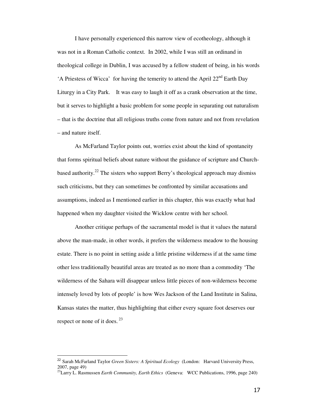I have personally experienced this narrow view of ecotheology, although it was not in a Roman Catholic context. In 2002, while I was still an ordinand in theological college in Dublin, I was accused by a fellow student of being, in his words 'A Priestess of Wicca' for having the temerity to attend the April  $22<sup>nd</sup>$  Earth Day Liturgy in a City Park. It was easy to laugh it off as a crank observation at the time, but it serves to highlight a basic problem for some people in separating out naturalism – that is the doctrine that all religious truths come from nature and not from revelation – and nature itself.

As McFarland Taylor points out, worries exist about the kind of spontaneity that forms spiritual beliefs about nature without the guidance of scripture and Churchbased authority.<sup>22</sup> The sisters who support Berry's theological approach may dismiss such criticisms, but they can sometimes be confronted by similar accusations and assumptions, indeed as I mentioned earlier in this chapter, this was exactly what had happened when my daughter visited the Wicklow centre with her school.

Another critique perhaps of the sacramental model is that it values the natural above the man-made, in other words, it prefers the wilderness meadow to the housing estate. There is no point in setting aside a little pristine wilderness if at the same time other less traditionally beautiful areas are treated as no more than a commodity 'The wilderness of the Sahara will disappear unless little pieces of non-wilderness become intensely loved by lots of people' is how Wes Jackson of the Land Institute in Salina, Kansas states the matter, thus highlighting that either every square foot deserves our respect or none of it does.  $23$ 

l

<sup>22</sup> Sarah McFarland Taylor *Green Sisters: A Spiritual Ecology* (London: Harvard University Press, 2007, page 49)

<sup>&</sup>lt;sup>23</sup>Larry L. Rasmussen *Earth Community, Earth Ethics* (Geneva: WCC Publications, 1996, page 240)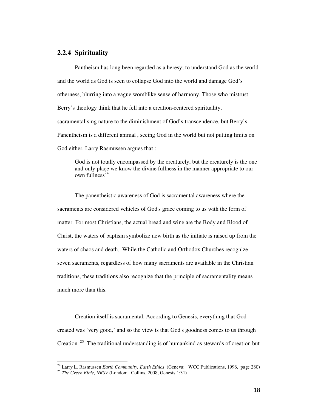## **2.2.4 Spirituality**

Pantheism has long been regarded as a heresy; to understand God as the world and the world as God is seen to collapse God into the world and damage God's otherness, blurring into a vague womblike sense of harmony. Those who mistrust Berry's theology think that he fell into a creation-centered spirituality, sacramentalising nature to the diminishment of God's transcendence, but Berry's Panentheism is a different animal , seeing God in the world but not putting limits on God either. Larry Rasmussen argues that :

God is not totally encompassed by the creaturely, but the creaturely is the one and only place we know the divine fullness in the manner appropriate to our own fullness $^{24}$ 

The panentheistic awareness of God is sacramental awareness where the sacraments are considered vehicles of God's grace coming to us with the form of matter. For most Christians, the actual bread and wine are the Body and Blood of Christ, the waters of baptism symbolize new birth as the initiate is raised up from the waters of chaos and death. While the Catholic and Orthodox Churches recognize seven sacraments, regardless of how many sacraments are available in the Christian traditions, these traditions also recognize that the principle of sacramentality means much more than this.

Creation itself is sacramental. According to Genesis, everything that God created was 'very good,' and so the view is that God's goodness comes to us through Creation.<sup>25</sup> The traditional understanding is of humankind as stewards of creation but

<sup>24</sup> Larry L. Rasmussen *Earth Community, Earth Ethics* (Geneva: WCC Publications, 1996, page 280)

<sup>25</sup> *The Green Bible, NRSV* (London: Collins, 2008, Genesis 1:31)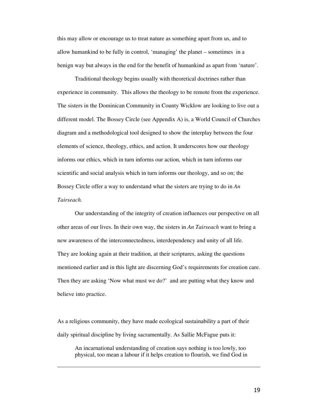this may allow or encourage us to treat nature as something apart from us, and to allow humankind to be fully in control, 'managing' the planet – sometimes in a benign way but always in the end for the benefit of humankind as apart from 'nature'.

Traditional theology begins usually with theoretical doctrines rather than experience in community. This allows the theology to be remote from the experience. The sisters in the Dominican Community in County Wicklow are looking to live out a different model. The Bossey Circle (see Appendix A) is, a World Council of Churches diagram and a methodological tool designed to show the interplay between the four elements of science, theology, ethics, and action. It underscores how our theology informs our ethics, which in turn informs our action, which in turn informs our scientific and social analysis which in turn informs our theology, and so on; the Bossey Circle offer a way to understand what the sisters are trying to do in *An Tairseach.* 

Our understanding of the integrity of creation influences our perspective on all other areas of our lives. In their own way, the sisters in *An Tairseach* want to bring a new awareness of the interconnectedness, interdependency and unity of all life. They are looking again at their tradition, at their scriptures, asking the questions mentioned earlier and in this light are discerning God's requirements for creation care. Then they are asking 'Now what must we do?' and are putting what they know and believe into practice.

As a religious community, they have made ecological sustainability a part of their daily spiritual discipline by living sacramentally. As Sallie McFague puts it:

l,

An incarnational understanding of creation says nothing is too lowly, too physical, too mean a labour if it helps creation to flourish, we find God in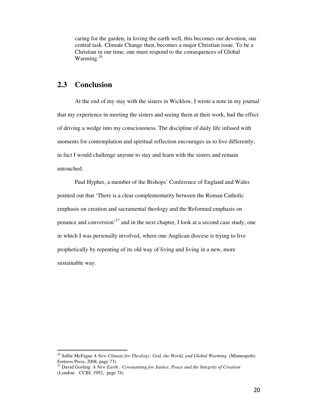caring for the garden, in loving the earth well, this becomes our devotion, our central task. Climate Change then, becomes a major Christian issue. To be a Christian in our time, one must respond to the consequences of Global Warming*. 26*

## **2.3 Conclusion**

l

At the end of my stay with the sisters in Wicklow, I wrote a note in my journal that my experience in meeting the sisters and seeing them at their work, had the effect of driving a wedge into my consciousness. The discipline of daily life infused with moments for contemplation and spiritual reflection encourages us to live differently; in fact I would challenge anyone to stay and learn with the sisters and remain untouched.

Paul Hypher, a member of the Bishops' Conference of England and Wales pointed out that 'There is a clear complementarity between the Roman Catholic emphasis on creation and sacramental theology and the Reformed emphasis on penance and conversion'*<sup>27</sup>* and in the next chapter, I look at a second case study, one in which I was personally involved, where one Anglican diocese is trying to live prophetically by repenting of its old way of living and living in a new, more sustainable way.

<sup>&</sup>lt;sup>26</sup> Sallie McFague *A New Climate for Theology: God, the World, and Global Warming* (Minneapolis: Fortress Press, 2008, page 73)

<sup>27</sup> David Gosling *A New Earth : Covenanting for Justice, Peace and the Integrity of Creation*  (London: CCBI, 1992, page 74)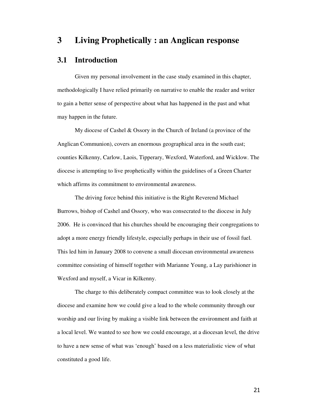## **3 Living Prophetically : an Anglican response**

## **3.1 Introduction**

Given my personal involvement in the case study examined in this chapter, methodologically I have relied primarily on narrative to enable the reader and writer to gain a better sense of perspective about what has happened in the past and what may happen in the future.

My diocese of Cashel & Ossory in the Church of Ireland (a province of the Anglican Communion), covers an enormous geographical area in the south east; counties Kilkenny, Carlow, Laois, Tipperary, Wexford, Waterford, and Wicklow. The diocese is attempting to live prophetically within the guidelines of a Green Charter which affirms its commitment to environmental awareness.

The driving force behind this initiative is the Right Reverend Michael Burrows, bishop of Cashel and Ossory, who was consecrated to the diocese in July 2006. He is convinced that his churches should be encouraging their congregations to adopt a more energy friendly lifestyle, especially perhaps in their use of fossil fuel. This led him in January 2008 to convene a small diocesan environmental awareness committee consisting of himself together with Marianne Young, a Lay parishioner in Wexford and myself, a Vicar in Kilkenny.

The charge to this deliberately compact committee was to look closely at the diocese and examine how we could give a lead to the whole community through our worship and our living by making a visible link between the environment and faith at a local level. We wanted to see how we could encourage, at a diocesan level, the drive to have a new sense of what was 'enough' based on a less materialistic view of what constituted a good life.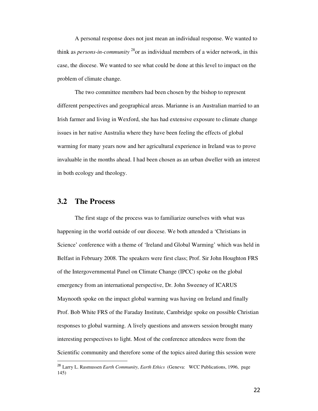A personal response does not just mean an individual response. We wanted to think as *persons-in-community* <sup>28</sup>or as individual members of a wider network, in this case, the diocese. We wanted to see what could be done at this level to impact on the problem of climate change.

The two committee members had been chosen by the bishop to represent different perspectives and geographical areas. Marianne is an Australian married to an Irish farmer and living in Wexford, she has had extensive exposure to climate change issues in her native Australia where they have been feeling the effects of global warming for many years now and her agricultural experience in Ireland was to prove invaluable in the months ahead. I had been chosen as an urban dweller with an interest in both ecology and theology.

## **3.2 The Process**

l

The first stage of the process was to familiarize ourselves with what was happening in the world outside of our diocese. We both attended a 'Christians in Science' conference with a theme of 'Ireland and Global Warming' which was held in Belfast in February 2008. The speakers were first class; Prof. Sir John Houghton FRS of the Intergovernmental Panel on Climate Change (IPCC) spoke on the global emergency from an international perspective, Dr. John Sweeney of ICARUS Maynooth spoke on the impact global warming was having on Ireland and finally Prof. Bob White FRS of the Faraday Institute, Cambridge spoke on possible Christian responses to global warming. A lively questions and answers session brought many interesting perspectives to light. Most of the conference attendees were from the Scientific community and therefore some of the topics aired during this session were

<sup>28</sup> Larry L. Rasmussen *Earth Community, Earth Ethics* (Geneva: WCC Publications, 1996, page 145)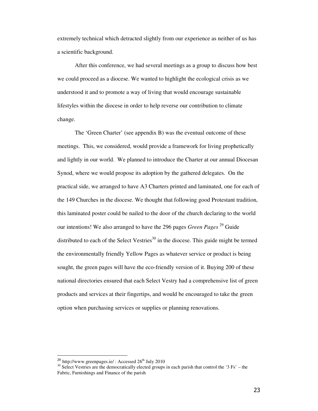extremely technical which detracted slightly from our experience as neither of us has a scientific background.

After this conference, we had several meetings as a group to discuss how best we could proceed as a diocese. We wanted to highlight the ecological crisis as we understood it and to promote a way of living that would encourage sustainable lifestyles within the diocese in order to help reverse our contribution to climate change.

The 'Green Charter' (see appendix B) was the eventual outcome of these meetings. This, we considered, would provide a framework for living prophetically and lightly in our world. We planned to introduce the Charter at our annual Diocesan Synod, where we would propose its adoption by the gathered delegates. On the practical side, we arranged to have A3 Charters printed and laminated, one for each of the 149 Churches in the diocese. We thought that following good Protestant tradition, this laminated poster could be nailed to the door of the church declaring to the world our intentions! We also arranged to have the 296 pages *Green Pages* <sup>29</sup> Guide distributed to each of the Select Vestries<sup>30</sup> in the diocese. This guide might be termed the environmentally friendly Yellow Pages as whatever service or product is being sought, the green pages will have the eco-friendly version of it. Buying 200 of these national directories ensured that each Select Vestry had a comprehensive list of green products and services at their fingertips, and would be encouraged to take the green option when purchasing services or supplies or planning renovations.

l

<sup>&</sup>lt;sup>29</sup> http://www.greenpages.ie/ : Accessed  $26<sup>th</sup>$  July 2010

 $30$  Select Vestries are the democratically elected groups in each parish that control the '3 Fs' – the Fabric, Furnishings and Finance of the parish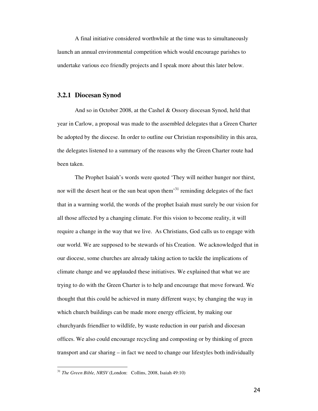A final initiative considered worthwhile at the time was to simultaneously launch an annual environmental competition which would encourage parishes to undertake various eco friendly projects and I speak more about this later below.

#### **3.2.1 Diocesan Synod**

And so in October 2008, at the Cashel & Ossory diocesan Synod, held that year in Carlow, a proposal was made to the assembled delegates that a Green Charter be adopted by the diocese. In order to outline our Christian responsibility in this area, the delegates listened to a summary of the reasons why the Green Charter route had been taken.

The Prophet Isaiah's words were quoted 'They will neither hunger nor thirst, nor will the desert heat or the sun beat upon them<sup>31</sup> reminding delegates of the fact that in a warming world, the words of the prophet Isaiah must surely be our vision for all those affected by a changing climate. For this vision to become reality, it will require a change in the way that we live. As Christians, God calls us to engage with our world. We are supposed to be stewards of his Creation. We acknowledged that in our diocese, some churches are already taking action to tackle the implications of climate change and we applauded these initiatives. We explained that what we are trying to do with the Green Charter is to help and encourage that move forward. We thought that this could be achieved in many different ways; by changing the way in which church buildings can be made more energy efficient, by making our churchyards friendlier to wildlife, by waste reduction in our parish and diocesan offices. We also could encourage recycling and composting or by thinking of green transport and car sharing – in fact we need to change our lifestyles both individually

<sup>31</sup> *The Green Bible, NRSV* (London: Collins, 2008, Isaiah 49:10)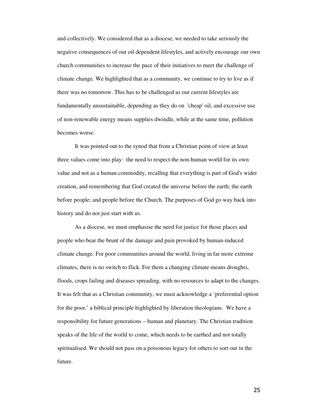and collectively. We considered that as a diocese, we needed to take seriously the negative consequences of our oil dependent lifestyles, and actively encourage our own church communities to increase the pace of their initiatives to meet the challenge of climate change. We highlighted that as a community, we continue to try to live as if there was no tomorrow. This has to be challenged as our current lifestyles are fundamentally unsustainable, depending as they do on 'cheap' oil, and excessive use of non-renewable energy means supplies dwindle, while at the same time, pollution becomes worse.

It was pointed out to the synod that from a Christian point of view at least three values come into play: the need to respect the non-human world for its own value and not as a human commodity, recalling that everything is part of God's wider creation, and remembering that God created the universe before the earth; the earth before people; and people before the Church. The purposes of God go way back into history and do not just start with us.

As a diocese, we must emphasise the need for justice for those places and people who bear the brunt of the damage and pain provoked by human-induced climate change. For poor communities around the world, living in far more extreme climates, there is no switch to flick. For them a changing climate means droughts, floods, crops failing and diseases spreading, with no resources to adapt to the changes. It was felt that as a Christian community, we must acknowledge a 'preferential option for the poor,' a biblical principle highlighted by liberation theologians. We have a responsibility for future generations – human and planetary. The Christian tradition speaks of the life of the world to come, which needs to be earthed and not totally spiritualised. We should not pass on a poisonous legacy for others to sort out in the future.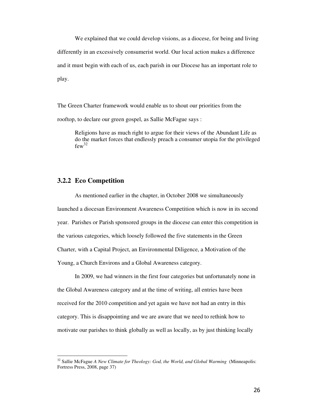We explained that we could develop visions, as a diocese, for being and living differently in an excessively consumerist world. Our local action makes a difference and it must begin with each of us, each parish in our Diocese has an important role to play.

The Green Charter framework would enable us to shout our priorities from the rooftop, to declare our green gospel, as Sallie McFague says :

Religions have as much right to argue for their views of the Abundant Life as do the market forces that endlessly preach a consumer utopia for the privileged  $f_{\text{ew}}^{32}$ 

### **3.2.2 Eco Competition**

l

As mentioned earlier in the chapter, in October 2008 we simultaneously launched a diocesan Environment Awareness Competition which is now in its second year. Parishes or Parish sponsored groups in the diocese can enter this competition in the various categories, which loosely followed the five statements in the Green Charter, with a Capital Project, an Environmental Diligence, a Motivation of the Young, a Church Environs and a Global Awareness category.

In 2009, we had winners in the first four categories but unfortunately none in the Global Awareness category and at the time of writing, all entries have been received for the 2010 competition and yet again we have not had an entry in this category. This is disappointing and we are aware that we need to rethink how to motivate our parishes to think globally as well as locally, as by just thinking locally

<sup>&</sup>lt;sup>32</sup> Sallie McFague *A New Climate for Theology: God, the World, and Global Warming* (Minneapolis: Fortress Press, 2008, page 37)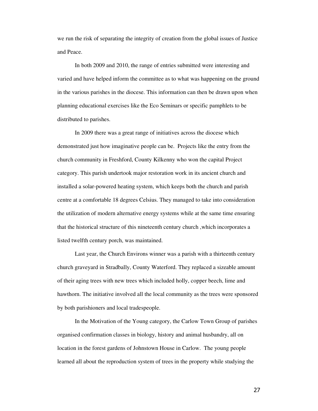we run the risk of separating the integrity of creation from the global issues of Justice and Peace.

In both 2009 and 2010, the range of entries submitted were interesting and varied and have helped inform the committee as to what was happening on the ground in the various parishes in the diocese. This information can then be drawn upon when planning educational exercises like the Eco Seminars or specific pamphlets to be distributed to parishes.

In 2009 there was a great range of initiatives across the diocese which demonstrated just how imaginative people can be. Projects like the entry from the church community in Freshford, County Kilkenny who won the capital Project category. This parish undertook major restoration work in its ancient church and installed a solar-powered heating system, which keeps both the church and parish centre at a comfortable 18 degrees Celsius. They managed to take into consideration the utilization of modern alternative energy systems while at the same time ensuring that the historical structure of this nineteenth century church ,which incorporates a listed twelfth century porch, was maintained.

Last year, the Church Environs winner was a parish with a thirteenth century church graveyard in Stradbally, County Waterford. They replaced a sizeable amount of their aging trees with new trees which included holly, copper beech, lime and hawthorn. The initiative involved all the local community as the trees were sponsored by both parishioners and local tradespeople.

In the Motivation of the Young category, the Carlow Town Group of parishes organised confirmation classes in biology, history and animal husbandry, all on location in the forest gardens of Johnstown House in Carlow. The young people learned all about the reproduction system of trees in the property while studying the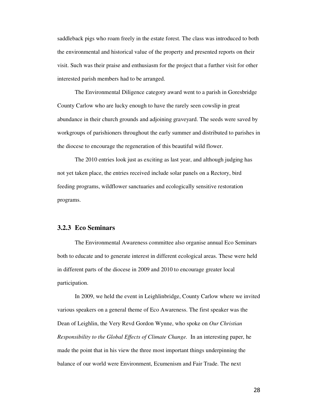saddleback pigs who roam freely in the estate forest. The class was introduced to both the environmental and historical value of the property and presented reports on their visit. Such was their praise and enthusiasm for the project that a further visit for other interested parish members had to be arranged.

The Environmental Diligence category award went to a parish in Goresbridge County Carlow who are lucky enough to have the rarely seen cowslip in great abundance in their church grounds and adjoining graveyard. The seeds were saved by workgroups of parishioners throughout the early summer and distributed to parishes in the diocese to encourage the regeneration of this beautiful wild flower.

The 2010 entries look just as exciting as last year, and although judging has not yet taken place, the entries received include solar panels on a Rectory, bird feeding programs, wildflower sanctuaries and ecologically sensitive restoration programs.

#### **3.2.3 Eco Seminars**

The Environmental Awareness committee also organise annual Eco Seminars both to educate and to generate interest in different ecological areas. These were held in different parts of the diocese in 2009 and 2010 to encourage greater local participation.

In 2009, we held the event in Leighlinbridge, County Carlow where we invited various speakers on a general theme of Eco Awareness. The first speaker was the Dean of Leighlin, the Very Revd Gordon Wynne, who spoke on *Our Christian Responsibility to the Global Effects of Climate Change.* In an interesting paper, he made the point that in his view the three most important things underpinning the balance of our world were Environment, Ecumenism and Fair Trade. The next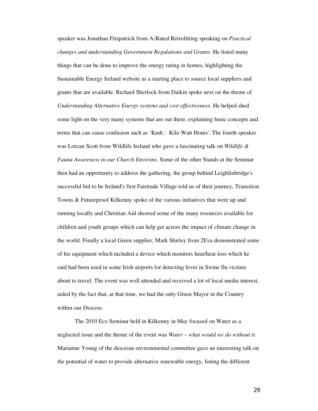speaker was Jonathan Fitzpatrick from A-Rated Retrofitting speaking on *Practical changes and understanding Government Regulations and Grants* He listed many things that can be done to improve the energy rating in homes, highlighting the Sustainable Energy Ireland website as a starting place to source local suppliers and grants that are available. Richard Sherlock from Daikin spoke next on the theme of *Understanding Alternative Energy systems and cost effectiveness.* He helped shed some light on the very many systems that are out there, explaining basic concepts and terms that can cause confusion such as 'Kmh : Kilo Watt Hours'. The fourth speaker was Lorcan Scott from Wildlife Ireland who gave a fascinating talk on *Wildlife & Fauna Awareness in our Church Environs.* Some of the other Stands at the Seminar then had an opportunity to address the gathering, the group behind Leighlinbridge's successful bid to be Ireland's first Fairtrade Village told us of their journey, Transition Towns & Futureproof Kilkenny spoke of the various initiatives that were up and running locally and Christian Aid showed some of the many resources available for children and youth groups which can help get across the impact of climate change in the world. Finally a local Green supplier, Mark Shirley from 2Eva demonstrated some of his equipment which included a device which monitors heat/heat-loss which he said had been used in some Irish airports for detecting fever in Swine flu victims about to travel. The event was well attended and received a lot of local media interest, aided by the fact that, at that time, we had the only Green Mayor in the Country within our Diocese.

The 2010 Eco Seminar held in Kilkenny in May focused on Water as a neglected issue and the theme of the event was *Water – what would we do without it.*  Marianne Young of the diocesan environmental committee gave an interesting talk on the potential of water to provide alternative renewable energy, listing the different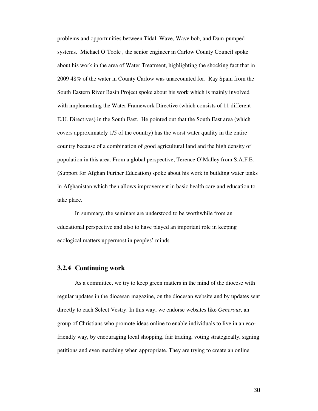problems and opportunities between Tidal, Wave, Wave bob, and Dam-pumped systems. Michael O'Toole , the senior engineer in Carlow County Council spoke about his work in the area of Water Treatment, highlighting the shocking fact that in 2009 48% of the water in County Carlow was unaccounted for. Ray Spain from the South Eastern River Basin Project spoke about his work which is mainly involved with implementing the Water Framework Directive (which consists of 11 different E.U. Directives) in the South East. He pointed out that the South East area (which covers approximately 1/5 of the country) has the worst water quality in the entire country because of a combination of good agricultural land and the high density of population in this area. From a global perspective, Terence O'Malley from S.A.F.E. (Support for Afghan Further Education) spoke about his work in building water tanks in Afghanistan which then allows improvement in basic health care and education to take place.

In summary, the seminars are understood to be worthwhile from an educational perspective and also to have played an important role in keeping ecological matters uppermost in peoples' minds.

#### **3.2.4 Continuing work**

As a committee, we try to keep green matters in the mind of the diocese with regular updates in the diocesan magazine, on the diocesan website and by updates sent directly to each Select Vestry. In this way, we endorse websites like *Generous*, an group of Christians who promote ideas online to enable individuals to live in an ecofriendly way, by encouraging local shopping, fair trading, voting strategically, signing petitions and even marching when appropriate. They are trying to create an online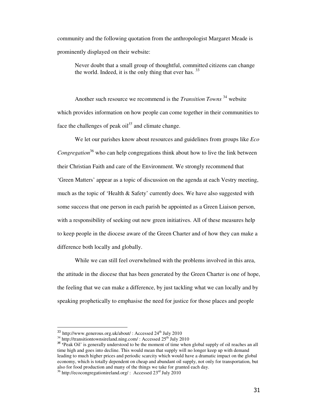community and the following quotation from the anthropologist Margaret Meade is prominently displayed on their website:

Never doubt that a small group of thoughtful, committed citizens can change the world. Indeed, it is the only thing that ever has.  $33$ 

Another such resource we recommend is the *Transition Towns* <sup>34</sup> website which provides information on how people can come together in their communities to face the challenges of peak  $\delta$ <sup>35</sup> and climate change.

We let our parishes know about resources and guidelines from groups like *Eco Congregation*<sup>36</sup> who can help congregations think about how to live the link between their Christian Faith and care of the Environment. We strongly recommend that 'Green Matters' appear as a topic of discussion on the agenda at each Vestry meeting, much as the topic of 'Health  $\&$  Safety' currently does. We have also suggested with some success that one person in each parish be appointed as a Green Liaison person, with a responsibility of seeking out new green initiatives. All of these measures help to keep people in the diocese aware of the Green Charter and of how they can make a difference both locally and globally.

While we can still feel overwhelmed with the problems involved in this area, the attitude in the diocese that has been generated by the Green Charter is one of hope, the feeling that we can make a difference, by just tackling what we can locally and by speaking prophetically to emphasise the need for justice for those places and people

l

 $33$  http://www.generous.org.uk/about/: Accessed  $24<sup>th</sup>$  July 2010

 $34 \frac{\text{http://transition}+\text{direction}+\text{cor}}{\text{http://transition}+\text{cor}}$  : Accessed  $25^{\text{th}}$  July 2010

**<sup>35</sup> '**Peak Oil' is generally understood to be the moment of time when global supply of oil reaches an all time high and goes into decline. This would mean that supply will no longer keep up with demand leading to much higher prices and periodic scarcity which would have a dramatic impact on the global economy, which is totally dependent on cheap and abundant oil supply, not only for transportation, but also for food production and many of the things we take for granted each day.

 $36$  http://ecocongregationireland.org/ : Accessed  $23<sup>rd</sup>$  July 2010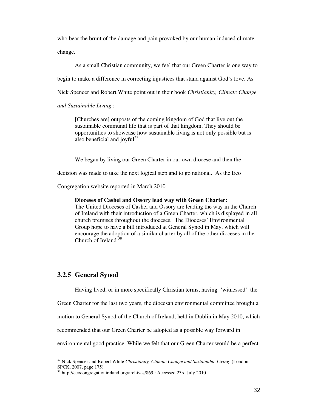who bear the brunt of the damage and pain provoked by our human-induced climate change.

As a small Christian community, we feel that our Green Charter is one way to begin to make a difference in correcting injustices that stand against God's love. As Nick Spencer and Robert White point out in their book *Christianity, Climate Change* 

*and Sustainable Living* :

[Churches are] outposts of the coming kingdom of God that live out the sustainable communal life that is part of that kingdom. They should be opportunities to showcase how sustainable living is not only possible but is also beneficial and joyful $37$ 

We began by living our Green Charter in our own diocese and then the

decision was made to take the next logical step and to go national. As the Eco

Congregation website reported in March 2010

#### **Dioceses of Cashel and Ossory lead way with Green Charter:**

The United Dioceses of Cashel and Ossory are leading the way in the Church of Ireland with their introduction of a Green Charter, which is displayed in all church premises throughout the dioceses. The Dioceses' Environmental Group hope to have a bill introduced at General Synod in May, which will encourage the adoption of a similar charter by all of the other dioceses in the Church of Ireland.<sup>38</sup>

### **3.2.5 General Synod**

l

Having lived, or in more specifically Christian terms, having 'witnessed' the

Green Charter for the last two years, the diocesan environmental committee brought a

motion to General Synod of the Church of Ireland, held in Dublin in May 2010, which

recommended that our Green Charter be adopted as a possible way forward in

environmental good practice. While we felt that our Green Charter would be a perfect

<sup>37</sup> Nick Spencer and Robert White *Christianity, Climate Change and Sustainable Living* (London: SPCK, 2007, page 175)

<sup>38</sup> http://ecocongregationireland.org/archives/869 : Accessed 23rd July 2010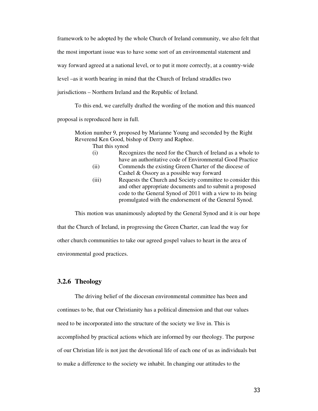framework to be adopted by the whole Church of Ireland community, we also felt that the most important issue was to have some sort of an environmental statement and way forward agreed at a national level, or to put it more correctly, at a country-wide level –as it worth bearing in mind that the Church of Ireland straddles two jurisdictions – Northern Ireland and the Republic of Ireland.

To this end, we carefully drafted the wording of the motion and this nuanced proposal is reproduced here in full.

Motion number 9, proposed by Marianne Young and seconded by the Right Reverend Ken Good, bishop of Derry and Raphoe.

That this synod

- (i) Recognizes the need for the Church of Ireland as a whole to have an authoritative code of Environmental Good Practice
- (ii) Commends the existing Green Charter of the diocese of Cashel & Ossory as a possible way forward
- (iii) Requests the Church and Society committee to consider this and other appropriate documents and to submit a proposed code to the General Synod of 2011 with a view to its being promulgated with the endorsement of the General Synod.

This motion was unanimously adopted by the General Synod and it is our hope that the Church of Ireland, in progressing the Green Charter, can lead the way for other church communities to take our agreed gospel values to heart in the area of environmental good practices.

### **3.2.6 Theology**

The driving belief of the diocesan environmental committee has been and continues to be, that our Christianity has a political dimension and that our values need to be incorporated into the structure of the society we live in. This is accomplished by practical actions which are informed by our theology. The purpose of our Christian life is not just the devotional life of each one of us as individuals but to make a difference to the society we inhabit. In changing our attitudes to the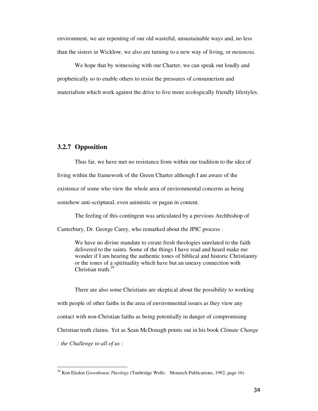environment, we are repenting of our old wasteful, unsustainable ways and, no less than the sisters in Wicklow, we also are turning to a new way of living, or *metanoia*.

We hope that by witnessing with our Charter, we can speak out loudly and prophetically so to enable others to resist the pressures of consumerism and materialism which work against the drive to live more ecologically friendly lifestyles.

### **3.2.7 Opposition**

l,

Thus far, we have met no resistance from within our tradition to the idea of living within the framework of the Green Charter although I am aware of the existence of some who view the whole area of environmental concerns as being somehow anti-scriptural, even animistic or pagan in content.

The feeling of this contingent was articulated by a previous Archbishop of

Canterbury, Dr. George Carey, who remarked about the JPIC process :

We have no divine mandate to create fresh theologies unrelated to the faith delivered to the saints. Some of the things I have read and heard make me wonder if I am hearing the authentic tones of biblical and historic Christianity or the tones of a spirituality which have but an uneasy connection with Christian truth. $39$ 

There are also some Christians are skeptical about the possibility to working with people of other faiths in the area of environmental issues as they view any contact with non-Christian faiths as being potentially in danger of compromising Christian truth claims. Yet as Sean McDonagh points out in his book *Climate Change : the Challenge to all of us* :

<sup>39</sup> Ron Elsdon *Greenhouse Theology* (Tunbridge Wells: Monarch Publications, 1992, page 16)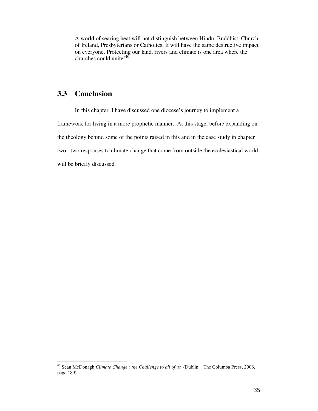A world of searing heat will not distinguish between Hindu, Buddhist, Church of Ireland, Presbyterians or Catholics. It will have the same destructive impact on everyone. Protecting our land, rivers and climate is one area where the churches could unite<sup> $40$ </sup>

## **3.3 Conclusion**

l,

In this chapter, I have discussed one diocese's journey to implement a framework for living in a more prophetic manner. At this stage, before expanding on the theology behind some of the points raised in this and in the case study in chapter two, two responses to climate change that come from outside the ecclesiastical world will be briefly discussed.

<sup>40</sup> Sean McDonagh *Climate Change : the Challenge to all of us* (Dublin: The Columba Press, 2006, page 189)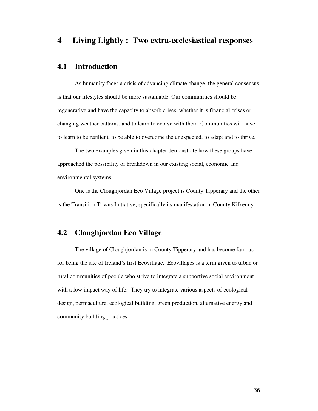## **4 Living Lightly : Two extra-ecclesiastical responses**

## **4.1 Introduction**

As humanity faces a crisis of advancing climate change, the general consensus is that our lifestyles should be more sustainable. Our communities should be regenerative and have the capacity to absorb crises, whether it is financial crises or changing weather patterns, and to learn to evolve with them. Communities will have to learn to be resilient, to be able to overcome the unexpected, to adapt and to thrive.

The two examples given in this chapter demonstrate how these groups have approached the possibility of breakdown in our existing social, economic and environmental systems.

One is the Cloughjordan Eco Village project is County Tipperary and the other is the Transition Towns Initiative, specifically its manifestation in County Kilkenny.

## **4.2 Cloughjordan Eco Village**

The village of Cloughjordan is in County Tipperary and has become famous for being the site of Ireland's first Ecovillage. Ecovillages is a term given to urban or rural communities of people who strive to integrate a supportive social environment with a low impact way of life. They try to integrate various aspects of ecological design, permaculture, ecological building, green production, alternative energy and community building practices.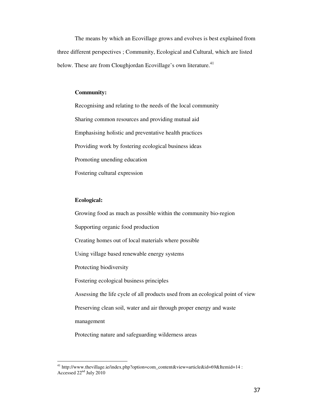The means by which an Ecovillage grows and evolves is best explained from three different perspectives ; Community, Ecological and Cultural, which are listed below. These are from Cloughjordan Ecovillage's own literature.<sup>41</sup>

#### **Community:**

Recognising and relating to the needs of the local community Sharing common resources and providing mutual aid Emphasising holistic and preventative health practices Providing work by fostering ecological business ideas Promoting unending education Fostering cultural expression

#### **Ecological:**

l,

Growing food as much as possible within the community bio-region Supporting organic food production Creating homes out of local materials where possible Using village based renewable energy systems Protecting biodiversity Fostering ecological business principles Assessing the life cycle of all products used from an ecological point of view Preserving clean soil, water and air through proper energy and waste management Protecting nature and safeguarding wilderness areas

<sup>41</sup> http://www.thevillage.ie/index.php?option=com\_content&view=article&id=69&Itemid=14 : Accessed  $22<sup>nd</sup>$  July 2010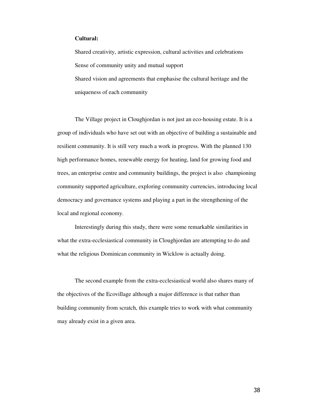#### **Cultural:**

Shared creativity, artistic expression, cultural activities and celebrations Sense of community unity and mutual support Shared vision and agreements that emphasise the cultural heritage and the uniqueness of each community

The Village project in Cloughjordan is not just an eco-housing estate. It is a group of individuals who have set out with an objective of building a sustainable and resilient community. It is still very much a work in progress. With the planned 130 high performance homes, renewable energy for heating, land for growing food and trees, an enterprise centre and community buildings, the project is also championing community supported agriculture, exploring community currencies, introducing local democracy and governance systems and playing a part in the strengthening of the local and regional economy.

Interestingly during this study, there were some remarkable similarities in what the extra-ecclesiastical community in Cloughjordan are attempting to do and what the religious Dominican community in Wicklow is actually doing.

The second example from the extra-ecclesiastical world also shares many of the objectives of the Ecovillage although a major difference is that rather than building community from scratch, this example tries to work with what community may already exist in a given area.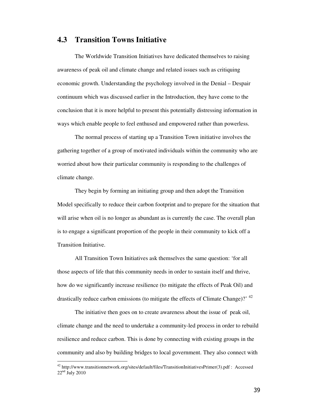## **4.3 Transition Towns Initiative**

The Worldwide Transition Initiatives have dedicated themselves to raising awareness of peak oil and climate change and related issues such as critiquing economic growth. Understanding the psychology involved in the Denial – Despair continuum which was discussed earlier in the Introduction, they have come to the conclusion that it is more helpful to present this potentially distressing information in ways which enable people to feel enthused and empowered rather than powerless.

The normal process of starting up a Transition Town initiative involves the gathering together of a group of motivated individuals within the community who are worried about how their particular community is responding to the challenges of climate change.

They begin by forming an initiating group and then adopt the Transition Model specifically to reduce their carbon footprint and to prepare for the situation that will arise when oil is no longer as abundant as is currently the case. The overall plan is to engage a significant proportion of the people in their community to kick off a Transition Initiative.

All Transition Town Initiatives ask themselves the same question: 'for all those aspects of life that this community needs in order to sustain itself and thrive, how do we significantly increase resilience (to mitigate the effects of Peak Oil) and drastically reduce carbon emissions (to mitigate the effects of Climate Change)?<sup>42</sup>

The initiative then goes on to create awareness about the issue of peak oil, climate change and the need to undertake a community-led process in order to rebuild resilience and reduce carbon. This is done by connecting with existing groups in the community and also by building bridges to local government. They also connect with

<sup>&</sup>lt;sup>42</sup> http://www.transitionnetwork.org/sites/default/files/TransitionInitiativesPrimer(3).pdf : Accessed  $22<sup>nd</sup>$  July 2010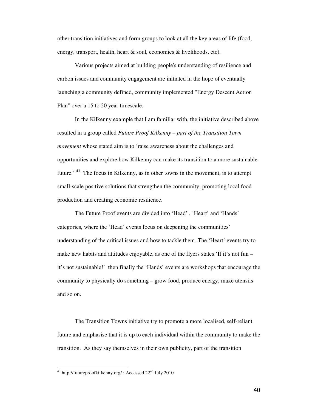other transition initiatives and form groups to look at all the key areas of life (food, energy, transport, health, heart & soul, economics & livelihoods, etc).

Various projects aimed at building people's understanding of resilience and carbon issues and community engagement are initiated in the hope of eventually launching a community defined, community implemented "Energy Descent Action Plan" over a 15 to 20 year timescale.

In the Kilkenny example that I am familiar with, the initiative described above resulted in a group called *Future Proof Kilkenny – part of the Transition Town movement* whose stated aim is to 'raise awareness about the challenges and opportunities and explore how Kilkenny can make its transition to a more sustainable future.<sup>43</sup> The focus in Kilkenny, as in other towns in the movement, is to attempt small-scale positive solutions that strengthen the community, promoting local food production and creating economic resilience.

The Future Proof events are divided into 'Head' , 'Heart' and 'Hands' categories, where the 'Head' events focus on deepening the communities' understanding of the critical issues and how to tackle them. The 'Heart' events try to make new habits and attitudes enjoyable, as one of the flyers states 'If it's not fun – it's not sustainable!' then finally the 'Hands' events are workshops that encourage the community to physically do something – grow food, produce energy, make utensils and so on.

The Transition Towns initiative try to promote a more localised, self-reliant future and emphasise that it is up to each individual within the community to make the transition. As they say themselves in their own publicity, part of the transition

<sup>&</sup>lt;sup>43</sup> http://futureproofkilkenny.org/ : Accessed  $22<sup>nd</sup>$  July 2010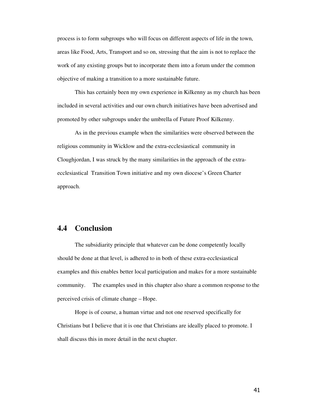process is to form subgroups who will focus on different aspects of life in the town, areas like Food, Arts, Transport and so on, stressing that the aim is not to replace the work of any existing groups but to incorporate them into a forum under the common objective of making a transition to a more sustainable future.

This has certainly been my own experience in Kilkenny as my church has been included in several activities and our own church initiatives have been advertised and promoted by other subgroups under the umbrella of Future Proof Kilkenny.

As in the previous example when the similarities were observed between the religious community in Wicklow and the extra-ecclesiastical community in Cloughjordan, I was struck by the many similarities in the approach of the extraecclesiastical Transition Town initiative and my own diocese's Green Charter approach.

## **4.4 Conclusion**

The subsidiarity principle that whatever can be done competently locally should be done at that level, is adhered to in both of these extra-ecclesiastical examples and this enables better local participation and makes for a more sustainable community. The examples used in this chapter also share a common response to the perceived crisis of climate change – Hope.

Hope is of course, a human virtue and not one reserved specifically for Christians but I believe that it is one that Christians are ideally placed to promote. I shall discuss this in more detail in the next chapter.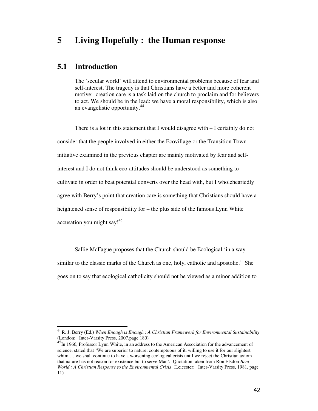## **5 Living Hopefully : the Human response**

## **5.1 Introduction**

l,

The 'secular world' will attend to environmental problems because of fear and self-interest. The tragedy is that Christians have a better and more coherent motive: creation care is a task laid on the church to proclaim and for believers to act. We should be in the lead: we have a moral responsibility, which is also an evangelistic opportunity.<sup>44</sup>

There is a lot in this statement that I would disagree with – I certainly do not consider that the people involved in either the Ecovillage or the Transition Town initiative examined in the previous chapter are mainly motivated by fear and selfinterest and I do not think eco-attitudes should be understood as something to cultivate in order to beat potential converts over the head with, but I wholeheartedly agree with Berry's point that creation care is something that Christians should have a heightened sense of responsibility for – the plus side of the famous Lynn White accusation you might say!<sup>45</sup>

Sallie McFague proposes that the Church should be Ecological 'in a way similar to the classic marks of the Church as one, holy, catholic and apostolic.' She goes on to say that ecological catholicity should not be viewed as a minor addition to

<sup>44</sup> R. J. Berry (Ed.) *When Enough is Enough : A Christian Framework for Environmental Sustainability*  (London: Inter-Varsity Press, 2007,page 180)

<sup>&</sup>lt;sup>45</sup>In 1966, Professor Lynn White, in an address to the American Association for the advancement of science, stated that 'We are superior to nature, contemptuous of it, willing to use it for our slightest whim ... we shall continue to have a worsening ecological crisis until we reject the Christian axiom that nature has not reason for existence but to serve Man'*.* Quotation taken from Ron Elsdon *Bent World : A Christian Response to the Environmental Crisis* (Leicester: Inter-Varsity Press, 1981, page 11)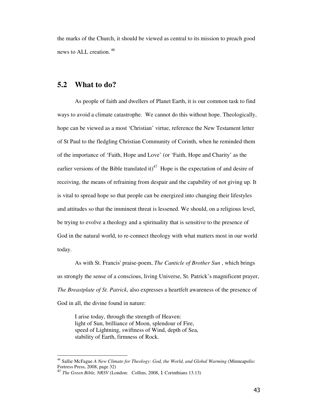the marks of the Church, it should be viewed as central to its mission to preach good news to ALL creation.<sup>46</sup>

## **5.2 What to do?**

As people of faith and dwellers of Planet Earth, it is our common task to find ways to avoid a climate catastrophe. We cannot do this without hope. Theologically, hope can be viewed as a most 'Christian' virtue, reference the New Testament letter of St Paul to the fledgling Christian Community of Corinth, when he reminded them of the importance of 'Faith, Hope and Love' (or 'Faith, Hope and Charity' as the earlier versions of the Bible translated it)<sup>47</sup> Hope is the expectation of and desire of receiving, the means of refraining from despair and the capability of not giving up. It is vital to spread hope so that people can be energized into changing their lifestyles and attitudes so that the imminent threat is lessened. We should, on a religious level, be trying to evolve a theology and a spirituality that is sensitive to the presence of God in the natural world, to re-connect theology with what matters most in our world today.

As with St. Francis' praise-poem, *The Canticle of Brother Sun* , which brings us strongly the sense of a conscious, living Universe, St. Patrick's magnificent prayer, *The Breastplate of St. Patrick*, also expresses a heartfelt awareness of the presence of God in all, the divine found in nature:

I arise today, through the strength of Heaven: light of Sun, brilliance of Moon, splendour of Fire, speed of Lightning, swiftness of Wind, depth of Sea, stability of Earth, firmness of Rock.

l

<sup>46</sup> Sallie McFague *A New Climate for Theology: God, the World, and Global Warming* (Minneapolis: Fortress Press, 2008, page 32)

<sup>47</sup> *The Green Bible, NRSV* (London: Collins, 2008, 1 Corinthians 13.13)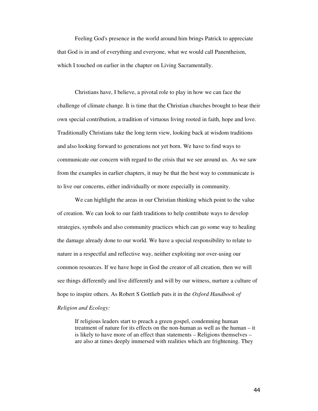Feeling God's presence in the world around him brings Patrick to appreciate that God is in and of everything and everyone, what we would call Panentheism, which I touched on earlier in the chapter on Living Sacramentally.

Christians have, I believe, a pivotal role to play in how we can face the challenge of climate change. It is time that the Christian churches brought to bear their own special contribution, a tradition of virtuous living rooted in faith, hope and love. Traditionally Christians take the long term view, looking back at wisdom traditions and also looking forward to generations not yet born. We have to find ways to communicate our concern with regard to the crisis that we see around us. As we saw from the examples in earlier chapters, it may be that the best way to communicate is to live our concerns, either individually or more especially in community.

We can highlight the areas in our Christian thinking which point to the value of creation. We can look to our faith traditions to help contribute ways to develop strategies, symbols and also community practices which can go some way to healing the damage already done to our world. We have a special responsibility to relate to nature in a respectful and reflective way, neither exploiting nor over-using our common resources. If we have hope in God the creator of all creation, then we will see things differently and live differently and will by our witness, nurture a culture of hope to inspire others. As Robert S Gottlieb puts it in the *Oxford Handbook of* 

### *Religion and Ecology:*

If religious leaders start to preach a green gospel, condemning human treatment of nature for its effects on the non-human as well as the human – it is likely to have more of an effect than statements – Religions themselves – are also at times deeply immersed with realities which are frightening. They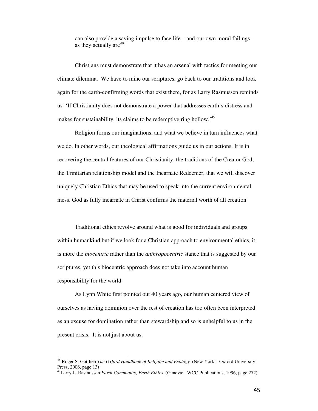can also provide a saving impulse to face life – and our own moral failings – as they actually are*<sup>48</sup>*

Christians must demonstrate that it has an arsenal with tactics for meeting our climate dilemma. We have to mine our scriptures, go back to our traditions and look again for the earth-confirming words that exist there, for as Larry Rasmussen reminds us 'If Christianity does not demonstrate a power that addresses earth's distress and makes for sustainability, its claims to be redemptive ring hollow.<sup>49</sup>

Religion forms our imaginations, and what we believe in turn influences what we do. In other words, our theological affirmations guide us in our actions. It is in recovering the central features of our Christianity, the traditions of the Creator God, the Trinitarian relationship model and the Incarnate Redeemer, that we will discover uniquely Christian Ethics that may be used to speak into the current environmental mess. God as fully incarnate in Christ confirms the material worth of all creation.

Traditional ethics revolve around what is good for individuals and groups within humankind but if we look for a Christian approach to environmental ethics, it is more the *biocentric* rather than the *anthropocentric* stance that is suggested by our scriptures, yet this biocentric approach does not take into account human responsibility for the world.

As Lynn White first pointed out 40 years ago, our human centered view of ourselves as having dominion over the rest of creation has too often been interpreted as an excuse for domination rather than stewardship and so is unhelpful to us in the present crisis. It is not just about us.

l

<sup>48</sup> Roger S. Gottlieb *The Oxford Handbook of Religion and Ecology* (New York: Oxford University Press, 2006, page 13)

<sup>49</sup>Larry L. Rasmussen *Earth Community, Earth Ethics* (Geneva: WCC Publications, 1996, page 272)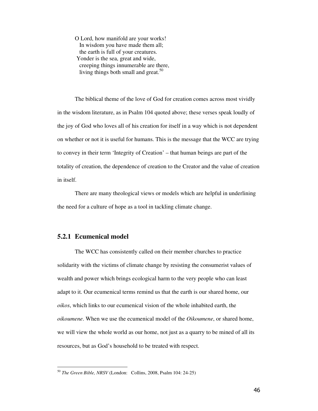O Lord, how manifold are your works! In wisdom you have made them all; the earth is full of your creatures. Yonder is the sea, great and wide, creeping things innumerable are there, living things both small and great.<sup>50</sup>

The biblical theme of the love of God for creation comes across most vividly in the wisdom literature, as in Psalm 104 quoted above; these verses speak loudly of the joy of God who loves all of his creation for itself in a way which is not dependent on whether or not it is useful for humans. This is the message that the WCC are trying to convey in their term 'Integrity of Creation' – that human beings are part of the totality of creation, the dependence of creation to the Creator and the value of creation in itself.

There are many theological views or models which are helpful in underlining the need for a culture of hope as a tool in tackling climate change.

### **5.2.1 Ecumenical model**

l,

The WCC has consistently called on their member churches to practice solidarity with the victims of climate change by resisting the consumerist values of wealth and power which brings ecological harm to the very people who can least adapt to it. Our ecumenical terms remind us that the earth is our shared home, our *oikos*, which links to our ecumenical vision of the whole inhabited earth, the *oikoumene*. When we use the ecumenical model of the *Oikoumene*, or shared home, we will view the whole world as our home, not just as a quarry to be mined of all its resources, but as God's household to be treated with respect.

<sup>50</sup> *The Green Bible, NRSV* (London: Collins, 2008, Psalm 104: 24-25)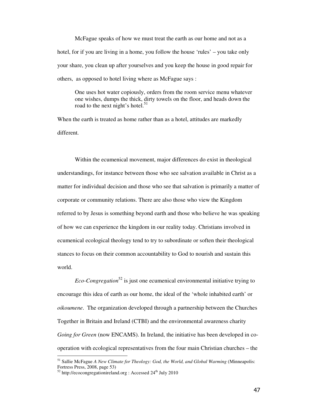McFague speaks of how we must treat the earth as our home and not as a hotel, for if you are living in a home, you follow the house 'rules' – you take only your share, you clean up after yourselves and you keep the house in good repair for others, as opposed to hotel living where as McFague says :

One uses hot water copiously, orders from the room service menu whatever one wishes, dumps the thick, dirty towels on the floor, and heads down the road to the next night's hotel. $51$ 

When the earth is treated as home rather than as a hotel, attitudes are markedly different.

Within the ecumenical movement, major differences do exist in theological understandings, for instance between those who see salvation available in Christ as a matter for individual decision and those who see that salvation is primarily a matter of corporate or community relations. There are also those who view the Kingdom referred to by Jesus is something beyond earth and those who believe he was speaking of how we can experience the kingdom in our reality today. Christians involved in ecumenical ecological theology tend to try to subordinate or soften their theological stances to focus on their common accountability to God to nourish and sustain this world.

*Eco-Congregation*<sup>52</sup> is just one ecumenical environmental initiative trying to encourage this idea of earth as our home, the ideal of the 'whole inhabited earth' or *oikoumene*. The organization developed through a partnership between the Churches Together in Britain and Ireland (CTBI) and the environmental awareness charity *Going for Green* (now ENCAMS). In Ireland, the initiative has been developed in cooperation with ecological representatives from the four main Christian churches – the

l

<sup>&</sup>lt;sup>51</sup> Sallie McFague *A New Climate for Theology: God, the World, and Global Warming (Minneapolis:* Fortress Press, 2008, page 53)

 $52$  http://ecocongregationireland.org : Accessed  $24<sup>th</sup>$  July 2010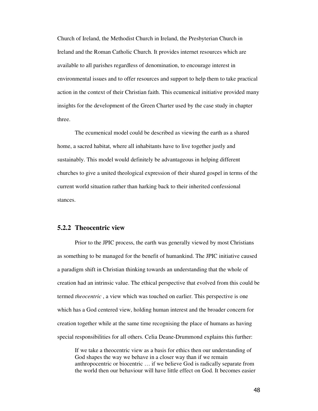Church of Ireland, the Methodist Church in Ireland, the Presbyterian Church in Ireland and the Roman Catholic Church. It provides internet resources which are available to all parishes regardless of denomination, to encourage interest in environmental issues and to offer resources and support to help them to take practical action in the context of their Christian faith. This ecumenical initiative provided many insights for the development of the Green Charter used by the case study in chapter three.

The ecumenical model could be described as viewing the earth as a shared home, a sacred habitat, where all inhabitants have to live together justly and sustainably. This model would definitely be advantageous in helping different churches to give a united theological expression of their shared gospel in terms of the current world situation rather than harking back to their inherited confessional stances.

#### **5.2.2 Theocentric view**

Prior to the JPIC process, the earth was generally viewed by most Christians as something to be managed for the benefit of humankind. The JPIC initiative caused a paradigm shift in Christian thinking towards an understanding that the whole of creation had an intrinsic value. The ethical perspective that evolved from this could be termed *theocentric* , a view which was touched on earlier. This perspective is one which has a God centered view, holding human interest and the broader concern for creation together while at the same time recognising the place of humans as having special responsibilities for all others. Celia Deane-Drummond explains this further:

If we take a theocentric view as a basis for ethics then our understanding of God shapes the way we behave in a closer way than if we remain anthropocentric or biocentric … if we believe God is radically separate from the world then our behaviour will have little effect on God. It becomes easier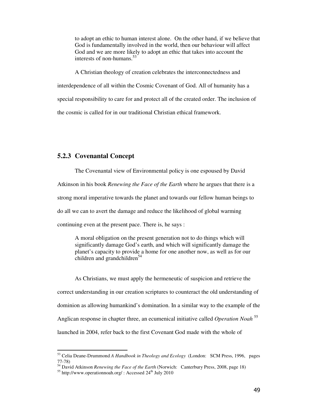to adopt an ethic to human interest alone. On the other hand, if we believe that God is fundamentally involved in the world, then our behaviour will affect God and we are more likely to adopt an ethic that takes into account the interests of non-humans.<sup>53</sup>

A Christian theology of creation celebrates the interconnectedness and interdependence of all within the Cosmic Covenant of God. All of humanity has a special responsibility to care for and protect all of the created order. The inclusion of the cosmic is called for in our traditional Christian ethical framework.

### **5.2.3 Covenantal Concept**

The Covenantal view of Environmental policy is one espoused by David Atkinson in his book *Renewing the Face of the Earth* where he argues that there is a strong moral imperative towards the planet and towards our fellow human beings to do all we can to avert the damage and reduce the likelihood of global warming continuing even at the present pace. There is, he says :

A moral obligation on the present generation not to do things which will significantly damage God's earth, and which will significantly damage the planet's capacity to provide a home for one another now, as well as for our children and grandchildren<sup>54</sup>

As Christians, we must apply the hermeneutic of suspicion and retrieve the correct understanding in our creation scriptures to counteract the old understanding of dominion as allowing humankind's domination. In a similar way to the example of the Anglican response in chapter three, an ecumenical initiative called *Operation Noah* <sup>55</sup> launched in 2004, refer back to the first Covenant God made with the whole of

l

<sup>53</sup> Celia Deane-Drummond *A Handbook in Theology and Ecology* (London: SCM Press, 1996, pages 77-78)

<sup>54</sup> David Atkinson *Renewing the Face of the Earth* (Norwich: Canterbury Press, 2008, page 18)

 $55$  http://www.operationnoah.org/ : Accessed  $24<sup>th</sup>$  July 2010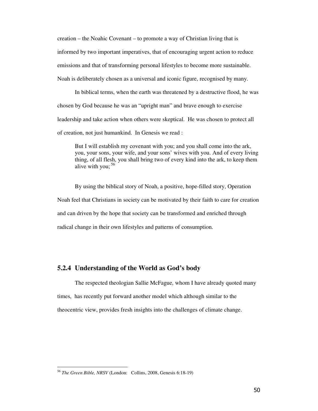creation – the Noahic Covenant – to promote a way of Christian living that is informed by two important imperatives, that of encouraging urgent action to reduce emissions and that of transforming personal lifestyles to become more sustainable. Noah is deliberately chosen as a universal and iconic figure, recognised by many.

In biblical terms, when the earth was threatened by a destructive flood, he was chosen by God because he was an "upright man" and brave enough to exercise leadership and take action when others were skeptical. He was chosen to protect all of creation, not just humankind. In Genesis we read :

But I will establish my covenant with you; and you shall come into the ark, you, your sons, your wife, and your sons' wives with you. And of every living thing, of all flesh, you shall bring two of every kind into the ark, to keep them alive with you:  $56$ 

By using the biblical story of Noah, a positive, hope-filled story, Operation Noah feel that Christians in society can be motivated by their faith to care for creation and can driven by the hope that society can be transformed and enriched through radical change in their own lifestyles and patterns of consumption.

### **5.2.4 Understanding of the World as God's body**

The respected theologian Sallie McFague, whom I have already quoted many times, has recently put forward another model which although similar to the theocentric view, provides fresh insights into the challenges of climate change.

<sup>56</sup> *The Green Bible, NRSV* (London: Collins, 2008, Genesis 6:18-19)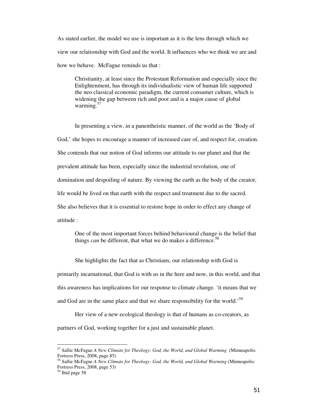As stated earlier, the model we use is important as it is the lens through which we view our relationship with God and the world. It influences who we think we are and how we behave. McFague reminds us that :

Christianity, at least since the Protestant Reformation and especially since the Enlightenment, has through its individualistic view of human life supported the neo classical economic paradigm, the current consumer culture, which is widening the gap between rich and poor and is a major cause of global warming. $57$ 

In presenting a view, in a panentheistic manner, of the world as the 'Body of God,' she hopes to encourage a manner of increased care of, and respect for, creation. She contends that our notion of God informs our attitude to our planet and that the prevalent attitude has been, especially since the industrial revolution, one of domination and despoiling of nature. By viewing the earth as the body of the creator, life would be lived on that earth with the respect and treatment due to the sacred. She also believes that it is essential to restore hope in order to effect any change of attitude :

One of the most important forces behind behavioural change is the belief that things *can* be different, that what we do makes a difference.<sup>58</sup>

She highlights the fact that as Christians, our relationship with God is

primarily incarnational, that God is with us in the here and now, in this world, and that this awareness has implications for our response to climate change. 'it means that we and God are in the same place and that we share responsibility for the world.<sup>59</sup>

Her view of a new ecological theology is that of humans as co-creators, as partners of God, working together for a just and sustainable planet.

<sup>57</sup> Sallie McFague *A New Climate for Theology: God, the World, and Global Warming* (Minneapolis: Fortress Press, 2008, page 85)

<sup>58</sup> Sallie McFague *A New Climate for Theology: God, the World, and Global Warming* (Minneapolis: Fortress Press, 2008, page 53)

<sup>59</sup> Ibid page 58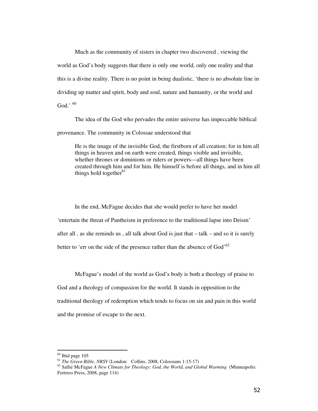Much as the community of sisters in chapter two discovered , viewing the world as God's body suggests that there is only one world, only one reality and that this is a divine reality. There is no point in being dualistic, 'there is no absolute line in dividing up matter and spirit, body and soul, nature and humanity, or the world and God.'  $^{60}$ 

The idea of the God who pervades the entire universe has impeccable biblical provenance. The community in Colossae understood that

He is the image of the invisible God, the firstborn of all creation; for in him all things in heaven and on earth were created, things visible and invisible, whether thrones or dominions or rulers or powers—all things have been created through him and for him. He himself is before all things, and in him all things hold together $61$ 

In the end, McFague decides that she would prefer to have her model 'entertain the threat of Pantheism in preference to the traditional lapse into Deism' after all , as she reminds us , all talk about God is just that – talk – and so it is surely better to 'err on the side of the presence rather than the absence of God'*<sup>62</sup>*

McFague's model of the world as God's body is both a theology of praise to

God and a theology of compassion for the world. It stands in opposition to the traditional theology of redemption which tends to focus on sin and pain in this world and the promise of escape to the next.

l

 $60$  Ibid page 105

<sup>61</sup> *The Green Bible, NRSV* (London: Collins, 2008, Colossians 1:15-17)

<sup>62</sup> Sallie McFague *A New Climate for Theology: God, the World, and Global Warming* (Minneapolis: Fortress Press, 2008, page 114)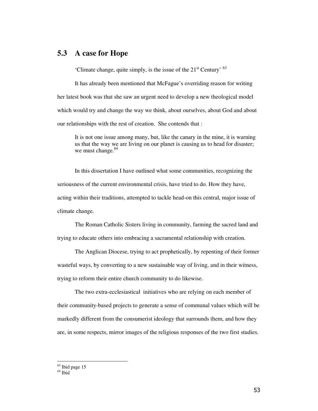## **5.3 A case for Hope**

'Climate change, quite simply, is the issue of the  $21<sup>st</sup>$  Century'  $<sup>63</sup>$ </sup>

It has already been mentioned that McFague's overriding reason for writing her latest book was that she saw an urgent need to develop a new theological model which would try and change the way we think, about ourselves, about God and about our relationships with the rest of creation. She contends that :

It is not one issue among many, but, like the canary in the mine, it is warning us that the way we are living on our planet is causing us to head for disaster; we must change.<sup>64</sup>

In this dissertation I have outlined what some communities, recognizing the seriousness of the current environmental crisis, have tried to do. How they have, acting within their traditions, attempted to tackle head-on this central, major issue of climate change.

The Roman Catholic Sisters living in community, farming the sacred land and trying to educate others into embracing a sacramental relationship with creation.

The Anglican Diocese, trying to act prophetically, by repenting of their former wasteful ways, by converting to a new sustainable way of living, and in their witness, trying to reform their entire church community to do likewise.

The two extra-ecclesiastical initiatives who are relying on each member of their community-based projects to generate a sense of communal values which will be markedly different from the consumerist ideology that surrounds them, and how they are, in some respects, mirror images of the religious responses of the two first studies.

 $63$  Ibid page 15

 $64$  Ibid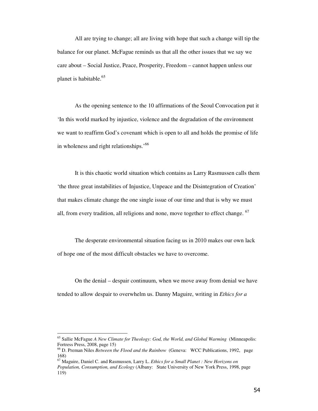All are trying to change; all are living with hope that such a change will tip the balance for our planet. McFague reminds us that all the other issues that we say we care about – Social Justice, Peace, Prosperity, Freedom – cannot happen unless our planet is habitable.<sup>65</sup>

As the opening sentence to the 10 affirmations of the Seoul Convocation put it 'In this world marked by injustice, violence and the degradation of the environment we want to reaffirm God's covenant which is open to all and holds the promise of life in wholeness and right relationships.<sup>66</sup>

It is this chaotic world situation which contains as Larry Rasmussen calls them 'the three great instabilities of Injustice, Unpeace and the Disintegration of Creation' that makes climate change the one single issue of our time and that is why we must all, from every tradition, all religions and none, move together to effect change.  $67$ 

The desperate environmental situation facing us in 2010 makes our own lack of hope one of the most difficult obstacles we have to overcome.

On the denial – despair continuum, when we move away from denial we have tended to allow despair to overwhelm us. Danny Maguire, writing in *Ethics for a* 

<sup>65</sup> Sallie McFague *A New Climate for Theology: God, the World, and Global Warming* (Minneapolis: Fortress Press, 2008, page 15)

<sup>66</sup> D. Preman Niles *Between the Flood and the Rainbow* (Geneva: WCC Publications, 1992, page 168)

<sup>67</sup> Maguire, Daniel C. and Rasmussen, Larry L. *Ethics for a Small Planet : New Horizons on* 

*Population, Consumption, and Ecology* (Albany: State University of New York Press, 1998, page 119)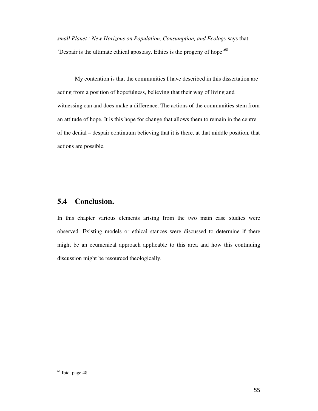*small Planet : New Horizons on Population, Consumption, and Ecology* says that 'Despair is the ultimate ethical apostasy. Ethics is the progeny of hope'<sup>68</sup>

My contention is that the communities I have described in this dissertation are acting from a position of hopefulness, believing that their way of living and witnessing can and does make a difference. The actions of the communities stem from an attitude of hope. It is this hope for change that allows them to remain in the centre of the denial – despair continuum believing that it is there, at that middle position, that actions are possible.

## **5.4 Conclusion.**

In this chapter various elements arising from the two main case studies were observed. Existing models or ethical stances were discussed to determine if there might be an ecumenical approach applicable to this area and how this continuing discussion might be resourced theologically.

<sup>68</sup> Ibid. page 48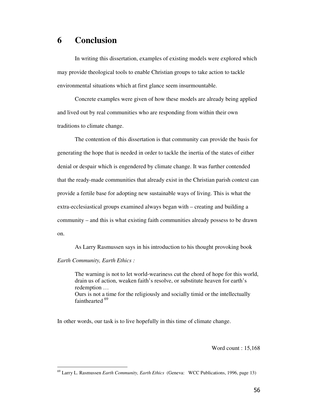## **6 Conclusion**

In writing this dissertation, examples of existing models were explored which may provide theological tools to enable Christian groups to take action to tackle environmental situations which at first glance seem insurmountable.

Concrete examples were given of how these models are already being applied and lived out by real communities who are responding from within their own traditions to climate change.

The contention of this dissertation is that community can provide the basis for generating the hope that is needed in order to tackle the inertia of the states of either denial or despair which is engendered by climate change. It was further contended that the ready-made communities that already exist in the Christian parish context can provide a fertile base for adopting new sustainable ways of living. This is what the extra-ecclesiastical groups examined always began with – creating and building a community – and this is what existing faith communities already possess to be drawn on.

As Larry Rasmussen says in his introduction to his thought provoking book

#### *Earth Community, Earth Ethics :*

l,

The warning is not to let world-weariness cut the chord of hope for this world, drain us of action, weaken faith's resolve, or substitute heaven for earth's redemption … Ours is not a time for the religiously and socially timid or the intellectually fainthearted <sup>69</sup>

In other words, our task is to live hopefully in this time of climate change.

Word count : 15,168

<sup>69</sup> Larry L. Rasmussen *Earth Community, Earth Ethics* (Geneva: WCC Publications, 1996, page 13)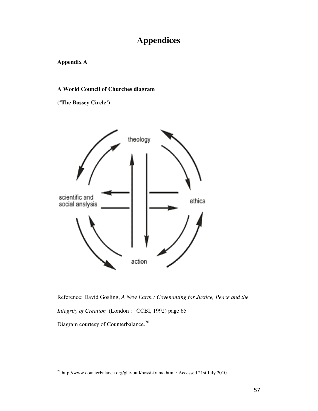# **Appendices**

**Appendix A** 

l,

## **A World Council of Churches diagram**

**('The Bossey Circle')** 



Reference: David Gosling, *A New Earth : Covenanting for Justice, Peace and the Integrity of Creation* (London : CCBI, 1992) page 65 Diagram courtesy of Counterbalance.<sup>70</sup>

 $^{70}$  http://www.counterbalance.org/ghc-outl/possi-frame.html : Accessed 21st July 2010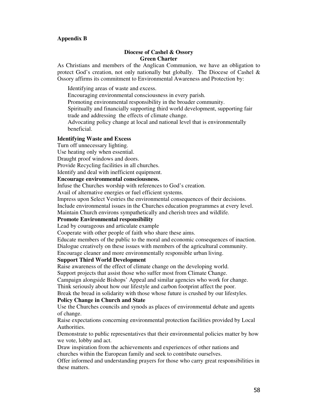#### **Appendix B**

#### **Diocese of Cashel & Ossory Green Charter**

As Christians and members of the Anglican Communion, we have an obligation to protect God's creation, not only nationally but globally. The Diocese of Cashel & Ossory affirms its commitment to Environmental Awareness and Protection by:

Identifying areas of waste and excess.

Encouraging environmental consciousness in every parish.

Promoting environmental responsibility in the broader community.

Spiritually and financially supporting third world development, supporting fair trade and addressing the effects of climate change.

Advocating policy change at local and national level that is environmentally beneficial.

#### **Identifying Waste and Excess**

Turn off unnecessary lighting.

Use heating only when essential.

Draught proof windows and doors.

Provide Recycling facilities in all churches.

Identify and deal with inefficient equipment.

### **Encourage environmental consciousness.**

Infuse the Churches worship with references to God's creation.

Avail of alternative energies or fuel efficient systems.

Impress upon Select Vestries the environmental consequences of their decisions.

Include environmental issues in the Churches education programmes at every level.

Maintain Church environs sympathetically and cherish trees and wildlife.

#### **Promote Environmental responsibility**

Lead by courageous and articulate example

Cooperate with other people of faith who share these aims.

Educate members of the public to the moral and economic consequences of inaction. Dialogue creatively on these issues with members of the agricultural community. Encourage cleaner and more environmentally responsible urban living.

#### **Support Third World Development**

Raise awareness of the effect of climate change on the developing world.

Support projects that assist those who suffer most from Climate Change.

Campaign alongside Bishops' Appeal and similar agencies who work for change. Think seriously about how our lifestyle and carbon footprint affect the poor.

Break the bread in solidarity with those whose future is crushed by our lifestyles. **Policy Change in Church and State** 

Use the Churches councils and synods as places of environmental debate and agents of change.

Raise expectations concerning environmental protection facilities provided by Local Authorities.

Demonstrate to public representatives that their environmental policies matter by how we vote, lobby and act.

Draw inspiration from the achievements and experiences of other nations and churches within the European family and seek to contribute ourselves.

Offer informed and understanding prayers for those who carry great responsibilities in these matters.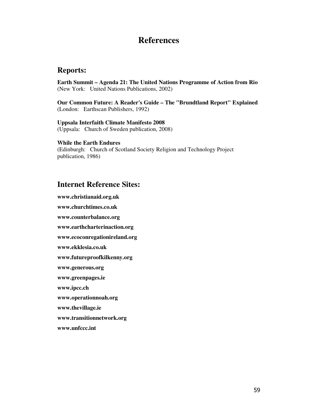## **References**

## **Reports:**

**Earth Summit – Agenda 21: The United Nations Programme of Action from Rio**  (New York: United Nations Publications, 2002)

**Our Common Future: A Reader's Guide – The "Brundtland Report" Explained**  (London: Earthscan Publishers, 1992)

**Uppsala Interfaith Climate Manifesto 2008**  (Uppsala: Church of Sweden publication, 2008)

**While the Earth Endures** 

(Edinburgh: Church of Scotland Society Religion and Technology Project publication, 1986)

## **Internet Reference Sites:**

**www.christianaid.org.uk www.churchtimes.co.uk www.counterbalance.org www.earthcharterinaction.org www.ecoconregationireland.org www.ekklesia.co.uk www.futureproofkilkenny.org www.generous.org www.greenpages.ie www.ipcc.ch www.operationnoah.org www.thevillage.ie www.transitionnetwork.org www.unfccc.int**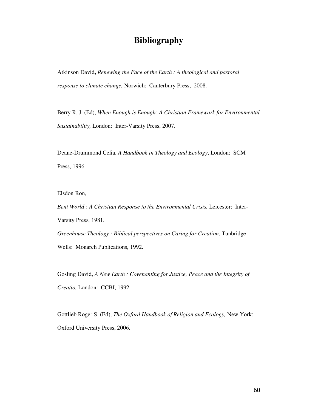## **Bibliography**

Atkinson David**,** *Renewing the Face of the Earth : A theological and pastoral response to climate change,* Norwich: Canterbury Press, 2008.

Berry R. J. (Ed), *When Enough is Enough: A Christian Framework for Environmental Sustainability,* London: Inter-Varsity Press, 2007.

Deane-Drummond Celia, *A Handbook in Theology and Ecology*, London: SCM Press, 1996.

Elsdon Ron,

*Bent World : A Christian Response to the Environmental Crisis,* Leicester: Inter-Varsity Press, 1981. Greenhouse Theology : Biblical perspectives on Caring for Creation, Tunbridge Wells: Monarch Publications, 1992.

Gosling David, *A New Earth : Covenanting for Justice, Peace and the Integrity of Creatio,* London: CCBI, 1992.

Gottlieb Roger S. (Ed), *The Oxford Handbook of Religion and Ecology,* New York: Oxford University Press, 2006.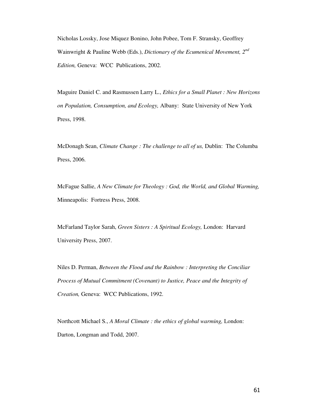Nicholas Lossky, Jose Miquez Bonino, John Pobee, Tom F. Stransky, Geoffrey Wainwright & Pauline Webb (Eds.), *Dictionary of the Ecumenical Movement, 2nd Edition,* Geneva: WCC Publications, 2002.

Maguire Daniel C. and Rasmussen Larry L., *Ethics for a Small Planet : New Horizons on Population, Consumption, and Ecology,* Albany: State University of New York Press, 1998.

McDonagh Sean, *Climate Change : The challenge to all of us,* Dublin: The Columba Press, 2006.

McFague Sallie, *A New Climate for Theology : God, the World, and Global Warming,*  Minneapolis: Fortress Press, 2008.

McFarland Taylor Sarah, *Green Sisters : A Spiritual Ecology,* London: Harvard University Press, 2007.

Niles D. Perman, *Between the Flood and the Rainbow : Interpreting the Conciliar Process of Mutual Commitment (Covenant) to Justice, Peace and the Integrity of Creation,* Geneva: WCC Publications, 1992.

Northcott Michael S., *A Moral Climate : the ethics of global warming,* London: Darton, Longman and Todd, 2007.